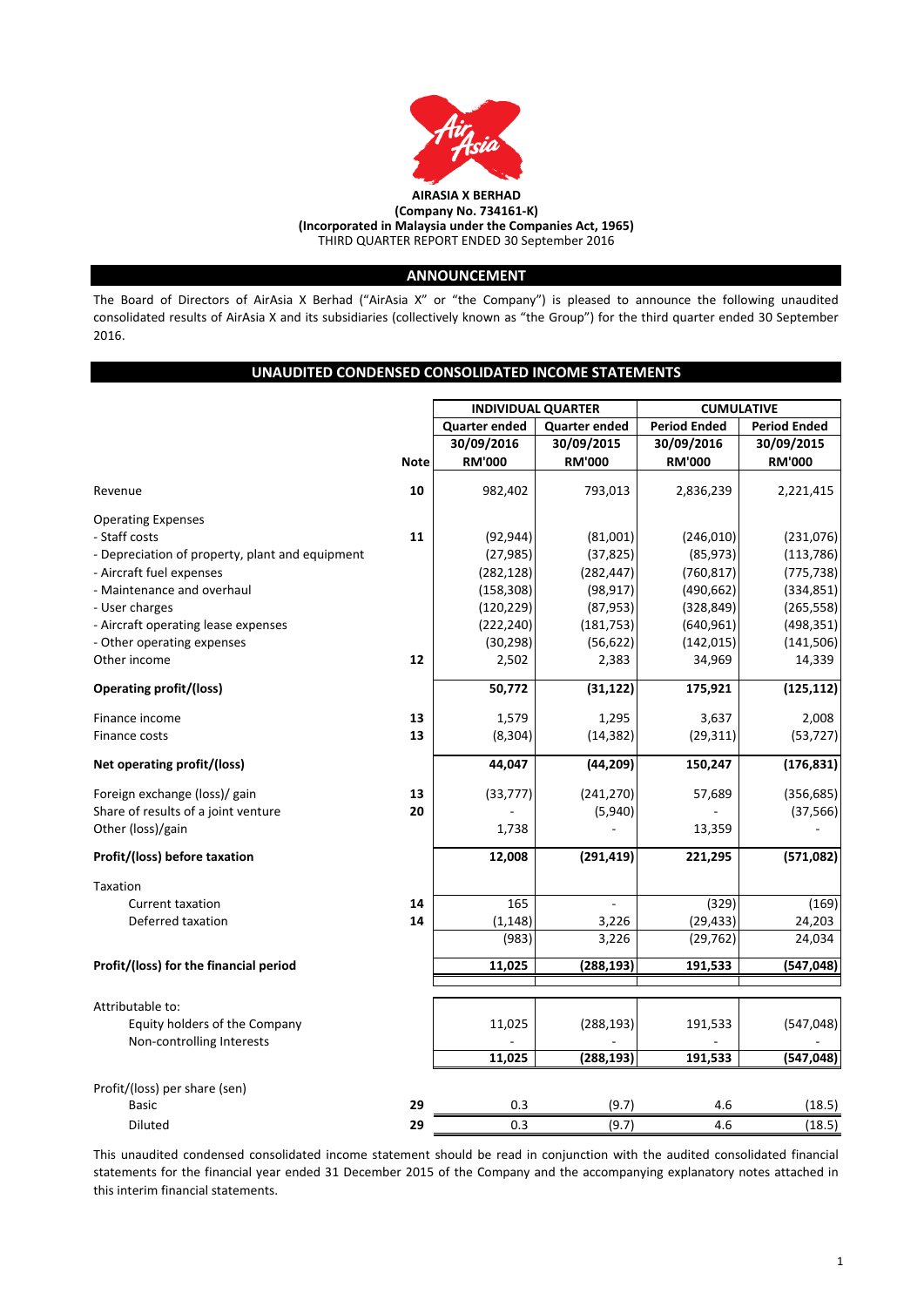

# **ANNOUNCEMENT**

The Board of Directors of AirAsia X Berhad ("AirAsia X" or "the Company") is pleased to announce the following unaudited consolidated results of AirAsia X and its subsidiaries (collectively known as "the Group") for the third quarter ended 30 September 2016.

# **UNAUDITED CONDENSED CONSOLIDATED INCOME STATEMENTS**

|                                                 |             | <b>INDIVIDUAL QUARTER</b> |                      |                     | <b>CUMULATIVE</b>   |
|-------------------------------------------------|-------------|---------------------------|----------------------|---------------------|---------------------|
|                                                 |             | <b>Quarter ended</b>      | <b>Quarter ended</b> | <b>Period Ended</b> | <b>Period Ended</b> |
|                                                 |             | 30/09/2016                | 30/09/2015           | 30/09/2016          | 30/09/2015          |
|                                                 | <b>Note</b> | <b>RM'000</b>             | <b>RM'000</b>        | <b>RM'000</b>       | <b>RM'000</b>       |
| Revenue                                         | 10          | 982,402                   | 793,013              | 2,836,239           | 2,221,415           |
| <b>Operating Expenses</b>                       |             |                           |                      |                     |                     |
| - Staff costs                                   | 11          | (92, 944)                 | (81,001)             | (246, 010)          | (231,076)           |
| - Depreciation of property, plant and equipment |             | (27, 985)                 | (37, 825)            | (85, 973)           | (113, 786)          |
| - Aircraft fuel expenses                        |             | (282, 128)                | (282, 447)           | (760, 817)          | (775, 738)          |
| - Maintenance and overhaul                      |             | (158, 308)                | (98, 917)            | (490, 662)          | (334, 851)          |
| - User charges                                  |             | (120, 229)                | (87, 953)            | (328, 849)          | (265, 558)          |
| - Aircraft operating lease expenses             |             | (222, 240)                | (181, 753)           | (640, 961)          | (498, 351)          |
| - Other operating expenses                      |             | (30, 298)                 | (56, 622)            | (142, 015)          | (141, 506)          |
| Other income                                    | 12          | 2,502                     | 2,383                | 34,969              | 14,339              |
| <b>Operating profit/(loss)</b>                  |             | 50,772                    | (31, 122)            | 175,921             | (125, 112)          |
| Finance income                                  | 13          | 1,579                     | 1,295                | 3,637               | 2,008               |
| Finance costs                                   | 13          | (8, 304)                  | (14, 382)            | (29, 311)           | (53, 727)           |
| Net operating profit/(loss)                     |             | 44,047                    | (44, 209)            | 150,247             | (176, 831)          |
| Foreign exchange (loss)/ gain                   | 13          | (33, 777)                 | (241, 270)           | 57,689              | (356, 685)          |
| Share of results of a joint venture             | 20          |                           | (5,940)              |                     | (37, 566)           |
| Other (loss)/gain                               |             | 1,738                     |                      | 13,359              |                     |
| Profit/(loss) before taxation                   |             | 12,008                    | (291, 419)           | 221,295             | (571,082)           |
| Taxation                                        |             |                           |                      |                     |                     |
| Current taxation                                | 14          | 165                       | L.                   | (329)               | (169)               |
| Deferred taxation                               | 14          | (1, 148)                  | 3,226                | (29, 433)           | 24,203              |
|                                                 |             | (983)                     | 3,226                | (29, 762)           | 24,034              |
| Profit/(loss) for the financial period          |             | 11,025                    | (288, 193)           | 191,533             | (547, 048)          |
|                                                 |             |                           |                      |                     |                     |
| Attributable to:                                |             |                           |                      |                     |                     |
| Equity holders of the Company                   |             | 11,025                    | (288, 193)           | 191,533             | (547, 048)          |
| Non-controlling Interests                       |             |                           |                      |                     |                     |
|                                                 |             | 11,025                    | (288, 193)           | 191,533             | (547, 048)          |
| Profit/(loss) per share (sen)                   |             |                           |                      |                     |                     |
| <b>Basic</b>                                    | 29          | 0.3                       | (9.7)                | 4.6                 | (18.5)              |
| <b>Diluted</b>                                  | 29          | 0.3                       | (9.7)                | 4.6                 | (18.5)              |

This unaudited condensed consolidated income statement should be read in conjunction with the audited consolidated financial statements for the financial year ended 31 December 2015 of the Company and the accompanying explanatory notes attached in this interim financial statements.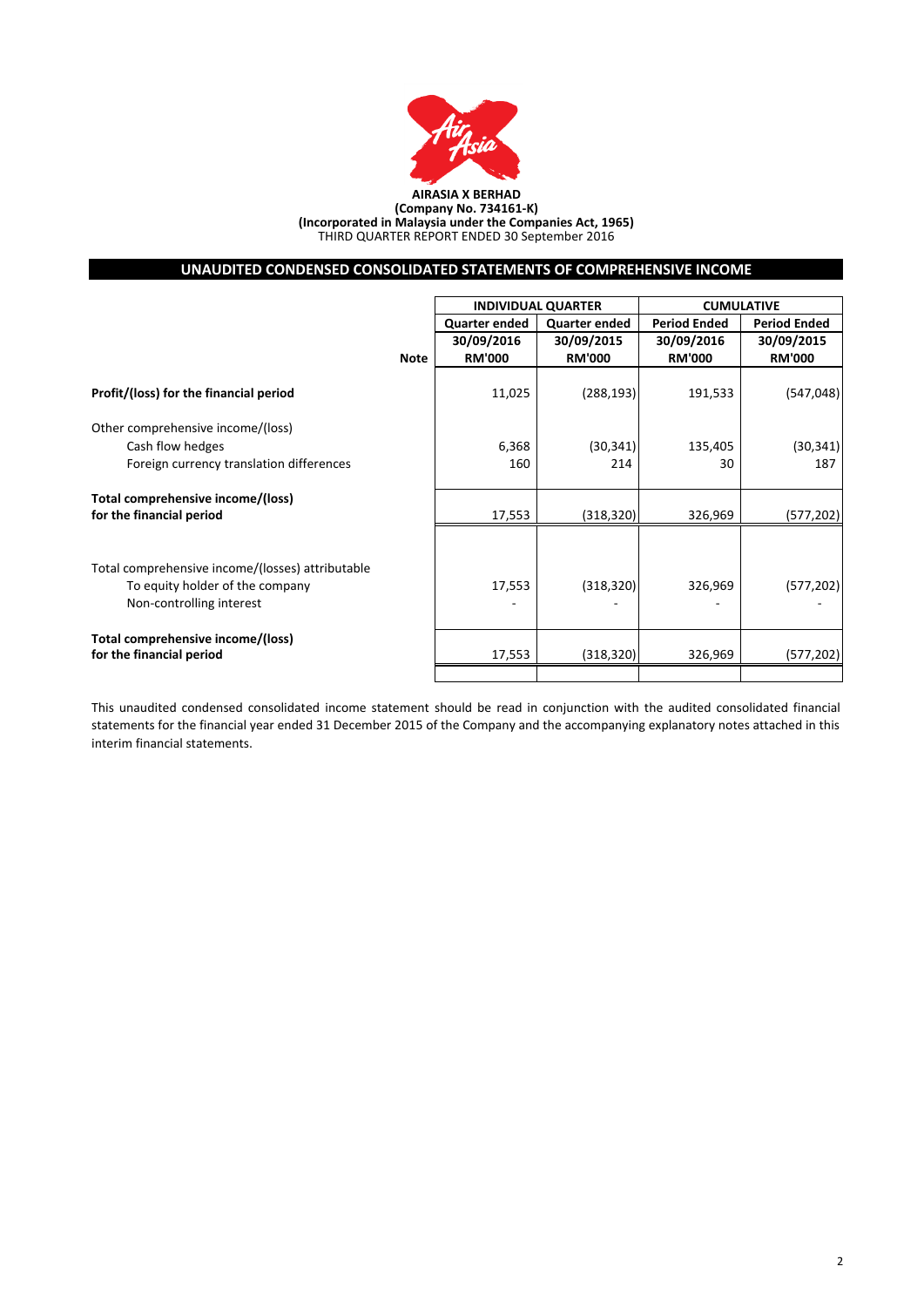

#### **AIRASIA X BERHAD (Company No. 734161-K) (Incorporated in Malaysia under the Companies Act, 1965)** THIRD QUARTER REPORT ENDED 30 September 2016

# **UNAUDITED CONDENSED CONSOLIDATED STATEMENTS OF COMPREHENSIVE INCOME**

|                                                  |             |                      | <b>INDIVIDUAL QUARTER</b> | <b>CUMULATIVE</b>   |                     |  |
|--------------------------------------------------|-------------|----------------------|---------------------------|---------------------|---------------------|--|
|                                                  |             | <b>Quarter ended</b> | <b>Quarter ended</b>      | <b>Period Ended</b> | <b>Period Ended</b> |  |
|                                                  |             | 30/09/2016           | 30/09/2015                | 30/09/2016          | 30/09/2015          |  |
|                                                  | <b>Note</b> | <b>RM'000</b>        | <b>RM'000</b>             | <b>RM'000</b>       | <b>RM'000</b>       |  |
| Profit/(loss) for the financial period           |             | 11,025               | (288, 193)                | 191,533             | (547, 048)          |  |
| Other comprehensive income/(loss)                |             |                      |                           |                     |                     |  |
| Cash flow hedges                                 |             | 6,368                | (30, 341)                 | 135,405             | (30, 341)           |  |
| Foreign currency translation differences         |             | 160                  | 214                       | 30                  | 187                 |  |
| Total comprehensive income/(loss)                |             |                      |                           |                     |                     |  |
| for the financial period                         |             | 17,553               | (318, 320)                | 326,969             | (577, 202)          |  |
|                                                  |             |                      |                           |                     |                     |  |
| Total comprehensive income/(losses) attributable |             |                      |                           |                     |                     |  |
| To equity holder of the company                  |             | 17,553               | (318, 320)                | 326,969             | (577, 202)          |  |
| Non-controlling interest                         |             |                      |                           |                     |                     |  |
| Total comprehensive income/(loss)                |             |                      |                           |                     |                     |  |
| for the financial period                         |             | 17,553               | (318, 320)                | 326,969             | (577, 202)          |  |
|                                                  |             |                      |                           |                     |                     |  |

This unaudited condensed consolidated income statement should be read in conjunction with the audited consolidated financial statements for the financial year ended 31 December 2015 of the Company and the accompanying explanatory notes attached in this interim financial statements.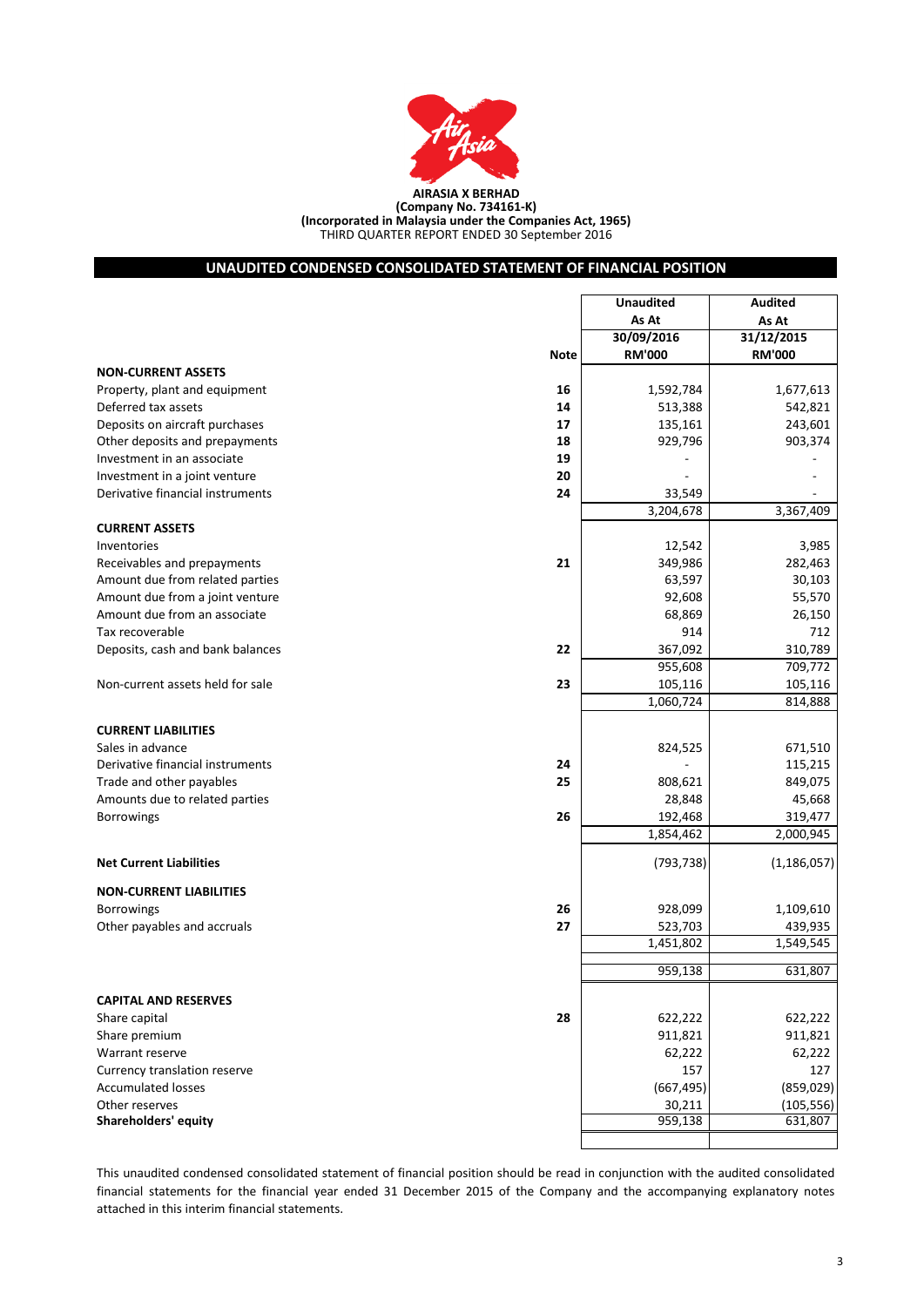

THIRD QUARTER REPORT ENDED 30 September 2016 **(Company No. 734161-K) (Incorporated in Malaysia under the Companies Act, 1965)**

# **UNAUDITED CONDENSED CONSOLIDATED STATEMENT OF FINANCIAL POSITION**

|                                        | <b>Unaudited</b> | <b>Audited</b> |
|----------------------------------------|------------------|----------------|
|                                        | As At            | As At          |
|                                        | 30/09/2016       | 31/12/2015     |
| Note                                   | <b>RM'000</b>    | <b>RM'000</b>  |
| <b>NON-CURRENT ASSETS</b>              |                  |                |
| 16<br>Property, plant and equipment    | 1,592,784        | 1,677,613      |
| Deferred tax assets<br>14              | 513,388          | 542,821        |
| Deposits on aircraft purchases<br>17   | 135,161          | 243,601        |
| Other deposits and prepayments<br>18   | 929,796          | 903,374        |
| Investment in an associate<br>19       |                  |                |
| Investment in a joint venture<br>20    |                  |                |
| Derivative financial instruments<br>24 | 33,549           |                |
|                                        | 3,204,678        | 3,367,409      |
| <b>CURRENT ASSETS</b>                  |                  |                |
| Inventories                            | 12,542           | 3,985          |
| 21<br>Receivables and prepayments      | 349,986          | 282,463        |
| Amount due from related parties        | 63,597           | 30,103         |
| Amount due from a joint venture        | 92,608           | 55,570         |
| Amount due from an associate           | 68,869           | 26,150         |
| Tax recoverable                        | 914              | 712            |
| Deposits, cash and bank balances<br>22 | 367,092          | 310,789        |
|                                        | 955,608          | 709,772        |
| 23<br>Non-current assets held for sale | 105,116          | 105,116        |
|                                        | 1,060,724        | 814,888        |
| <b>CURRENT LIABILITIES</b>             |                  |                |
| Sales in advance                       | 824,525          | 671,510        |
| Derivative financial instruments<br>24 |                  | 115,215        |
| Trade and other payables<br>25         | 808,621          | 849,075        |
| Amounts due to related parties         | 28,848           | 45,668         |
| 26<br><b>Borrowings</b>                | 192,468          | 319,477        |
|                                        | 1,854,462        | 2,000,945      |
|                                        |                  |                |
| <b>Net Current Liabilities</b>         | (793, 738)       | (1, 186, 057)  |
| <b>NON-CURRENT LIABILITIES</b>         |                  |                |
| 26<br><b>Borrowings</b>                | 928,099          | 1,109,610      |
| Other payables and accruals<br>27      | 523,703          | 439,935        |
|                                        | 1,451,802        | 1,549,545      |
|                                        |                  |                |
|                                        | 959,138          | 631,807        |
| <b>CAPITAL AND RESERVES</b>            |                  |                |
| 28<br>Share capital                    | 622,222          | 622,222        |
| Share premium                          | 911,821          | 911,821        |
| Warrant reserve                        | 62,222           | 62,222         |
| Currency translation reserve           | 157              | 127            |
| <b>Accumulated losses</b>              | (667, 495)       | (859, 029)     |
| Other reserves                         | 30,211           | (105, 556)     |
| Shareholders' equity                   | 959,138          | 631,807        |
|                                        |                  |                |

This unaudited condensed consolidated statement of financial position should be read in conjunction with the audited consolidated financial statements for the financial year ended 31 December 2015 of the Company and the accompanying explanatory notes attached in this interim financial statements.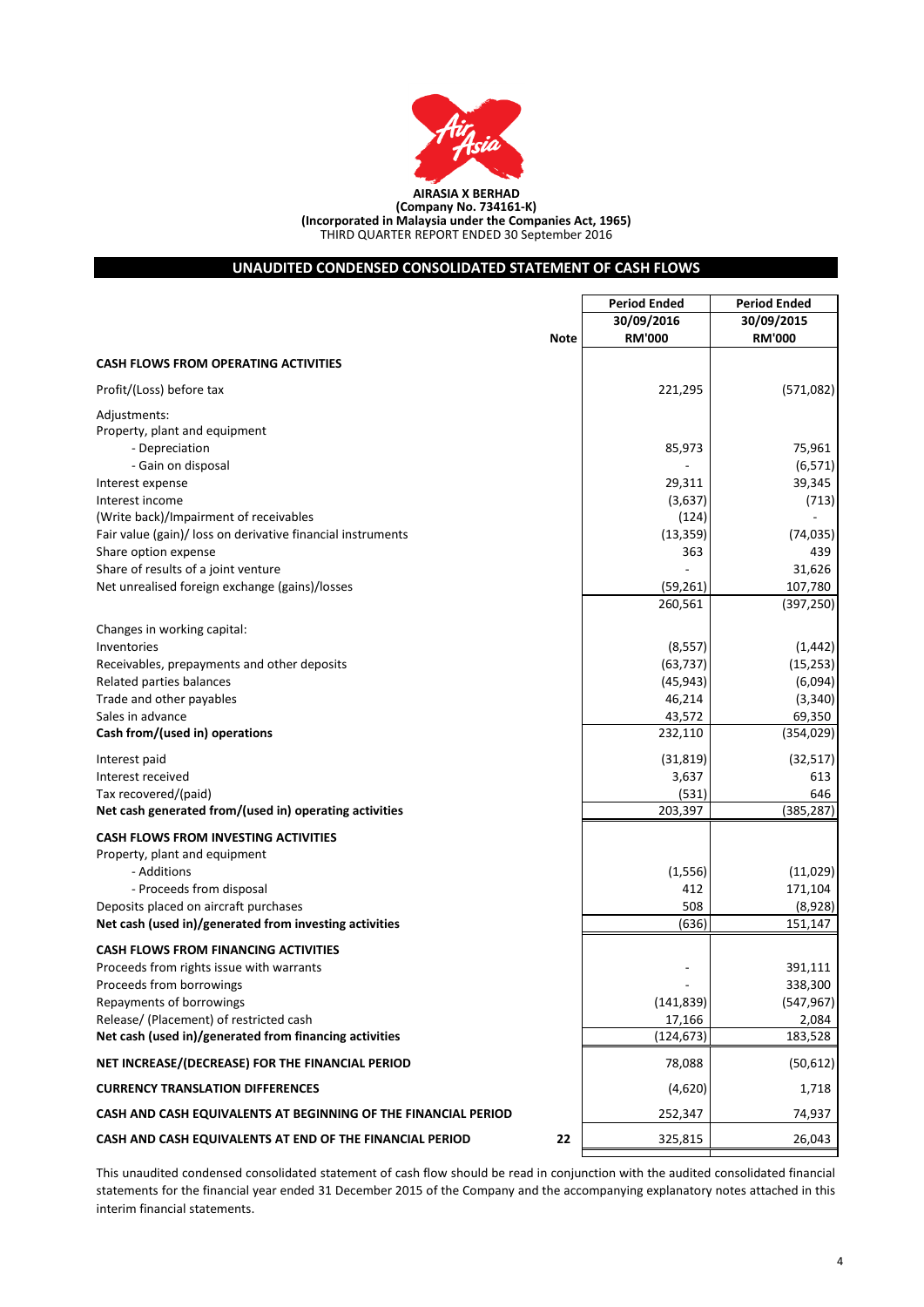

# **UNAUDITED CONDENSED CONSOLIDATED STATEMENT OF CASH FLOWS**

|                                                                | <b>Period Ended</b> | <b>Period Ended</b> |
|----------------------------------------------------------------|---------------------|---------------------|
|                                                                | 30/09/2016          | 30/09/2015          |
| <b>Note</b>                                                    | <b>RM'000</b>       | <b>RM'000</b>       |
| <b>CASH FLOWS FROM OPERATING ACTIVITIES</b>                    |                     |                     |
| Profit/(Loss) before tax                                       | 221,295             | (571,082)           |
| Adjustments:                                                   |                     |                     |
| Property, plant and equipment                                  |                     |                     |
| - Depreciation                                                 | 85,973              | 75,961              |
| - Gain on disposal                                             |                     | (6, 571)            |
| Interest expense                                               | 29,311              | 39,345              |
| Interest income                                                | (3,637)             | (713)               |
| (Write back)/Impairment of receivables                         | (124)               |                     |
| Fair value (gain)/ loss on derivative financial instruments    | (13, 359)           | (74, 035)           |
| Share option expense                                           | 363                 | 439                 |
| Share of results of a joint venture                            |                     | 31,626              |
| Net unrealised foreign exchange (gains)/losses                 | (59, 261)           | 107,780             |
|                                                                | 260,561             | (397, 250)          |
| Changes in working capital:                                    |                     |                     |
| Inventories                                                    | (8, 557)            | (1, 442)            |
| Receivables, prepayments and other deposits                    | (63, 737)           | (15, 253)           |
| Related parties balances                                       | (45, 943)           | (6,094)             |
| Trade and other payables                                       | 46,214              | (3, 340)            |
| Sales in advance                                               | 43,572              | 69,350              |
| Cash from/(used in) operations                                 | 232,110             | (354, 029)          |
| Interest paid                                                  | (31, 819)           | (32, 517)           |
| Interest received                                              | 3,637               | 613                 |
| Tax recovered/(paid)                                           | (531)               | 646                 |
| Net cash generated from/(used in) operating activities         | 203,397             | (385, 287)          |
| <b>CASH FLOWS FROM INVESTING ACTIVITIES</b>                    |                     |                     |
| Property, plant and equipment                                  |                     |                     |
| - Additions                                                    | (1, 556)            | (11,029)            |
| - Proceeds from disposal                                       | 412                 | 171,104             |
| Deposits placed on aircraft purchases                          | 508                 | (8,928)             |
| Net cash (used in)/generated from investing activities         | (636)               | 151,147             |
| <b>CASH FLOWS FROM FINANCING ACTIVITIES</b>                    |                     |                     |
| Proceeds from rights issue with warrants                       |                     | 391,111             |
| Proceeds from borrowings                                       |                     | 338,300             |
| Repayments of borrowings                                       | (141, 839)          | (547, 967)          |
| Release/ (Placement) of restricted cash                        | 17,166              | 2,084               |
| Net cash (used in)/generated from financing activities         | (124, 673)          | 183,528             |
| NET INCREASE/(DECREASE) FOR THE FINANCIAL PERIOD               | 78,088              | (50, 612)           |
| <b>CURRENCY TRANSLATION DIFFERENCES</b>                        | (4,620)             | 1,718               |
| CASH AND CASH EQUIVALENTS AT BEGINNING OF THE FINANCIAL PERIOD | 252,347             | 74,937              |
| CASH AND CASH EQUIVALENTS AT END OF THE FINANCIAL PERIOD<br>22 | 325,815             | 26,043              |

This unaudited condensed consolidated statement of cash flow should be read in conjunction with the audited consolidated financial statements for the financial year ended 31 December 2015 of the Company and the accompanying explanatory notes attached in this interim financial statements.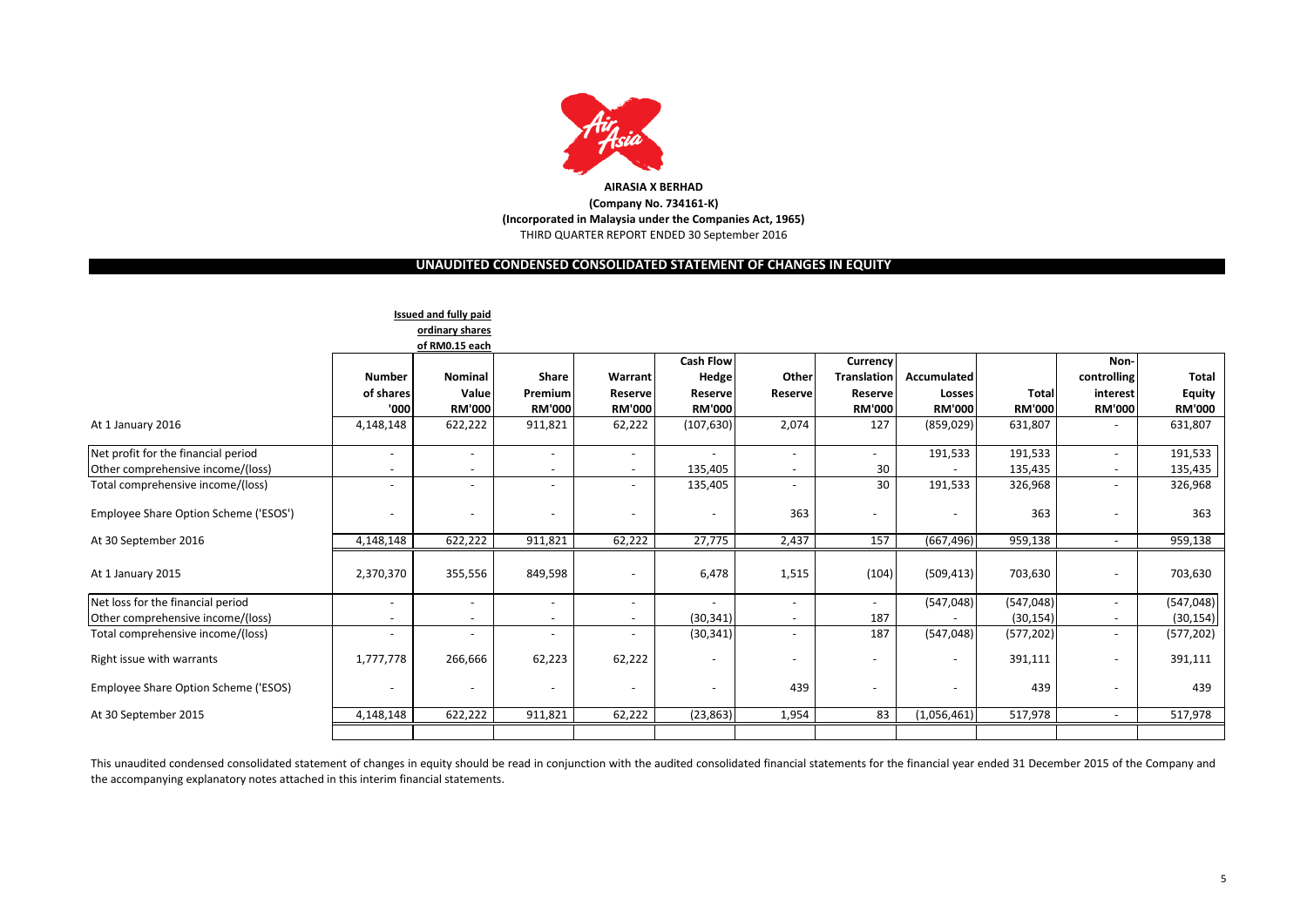

# **UNAUDITED CONDENSED CONSOLIDATED STATEMENT OF CHANGES IN EQUITY**

|                                                                          |                                            | Issued and fully paid<br>ordinary shares<br>of RM0.15 each |                                   |                                     | <b>Cash Flow</b>                    |                          | Currency                                       |                                               |                               | Non-                                                 |                                         |
|--------------------------------------------------------------------------|--------------------------------------------|------------------------------------------------------------|-----------------------------------|-------------------------------------|-------------------------------------|--------------------------|------------------------------------------------|-----------------------------------------------|-------------------------------|------------------------------------------------------|-----------------------------------------|
|                                                                          | <b>Number</b><br>of shares<br>'000         | Nominal<br>Value<br><b>RM'000</b>                          | Share<br>Premium<br><b>RM'000</b> | Warrant<br>Reserve<br><b>RM'000</b> | Hedge<br>Reserve<br><b>RM'000</b>   | Other<br>Reserve         | <b>Translation</b><br>Reserve<br><b>RM'000</b> | <b>Accumulated</b><br>Losses<br><b>RM'000</b> | <b>Total</b><br><b>RM'000</b> | controlling<br>interest<br><b>RM'000</b>             | Total<br><b>Equity</b><br><b>RM'000</b> |
| At 1 January 2016                                                        | 4,148,148                                  | 622,222                                                    | 911,821                           | 62,222                              | (107, 630)                          | 2,074                    | 127                                            | (859, 029)                                    | 631,807                       |                                                      | 631,807                                 |
| Net profit for the financial period<br>Other comprehensive income/(loss) | $\overline{\phantom{a}}$<br>$\blacksquare$ | $\overline{\phantom{a}}$                                   | $\overline{\phantom{a}}$          | $\sim$<br>$\sim$                    | $\overline{\phantom{a}}$<br>135,405 | $\overline{\phantom{a}}$ | $\sim$<br>30                                   | 191,533                                       | 191,533<br>135,435            | $\overline{\phantom{0}}$<br>$\overline{\phantom{a}}$ | 191,533<br>135,435                      |
| Total comprehensive income/(loss)                                        | $\blacksquare$                             | ٠                                                          |                                   | $\overline{\phantom{a}}$            | 135,405                             |                          | 30                                             | 191,533                                       | 326,968                       | $\overline{\phantom{a}}$                             | 326,968                                 |
| Employee Share Option Scheme ('ESOS')                                    | $\overline{\phantom{a}}$                   | $\sim$                                                     | $\overline{\phantom{a}}$          |                                     | $\overline{\phantom{a}}$            | 363                      | $\overline{\phantom{a}}$                       |                                               | 363                           | $\overline{\phantom{a}}$                             | 363                                     |
| At 30 September 2016                                                     | 4,148,148                                  | 622,222                                                    | 911,821                           | 62,222                              | 27,775                              | 2,437                    | 157                                            | (667, 496)                                    | 959,138                       | $\overline{\phantom{0}}$                             | 959,138                                 |
| At 1 January 2015                                                        | 2,370,370                                  | 355,556                                                    | 849,598                           |                                     | 6,478                               | 1,515                    | (104)                                          | (509, 413)                                    | 703,630                       | $\qquad \qquad \blacksquare$                         | 703,630                                 |
| Net loss for the financial period                                        | $\overline{\phantom{a}}$                   | ٠                                                          |                                   | $\overline{\phantom{a}}$            |                                     | $\overline{\phantom{a}}$ | $\sim$                                         | (547, 048)                                    | (547, 048)                    | $\overline{\phantom{a}}$                             | (547, 048)                              |
| Other comprehensive income/(loss)                                        | $\overline{\phantom{a}}$                   |                                                            |                                   | $\overline{\phantom{a}}$            | (30, 341)                           |                          | 187                                            |                                               | (30, 154)                     | $\overline{\phantom{a}}$                             | (30, 154)                               |
| Total comprehensive income/(loss)                                        | $\overline{\phantom{a}}$                   | ٠                                                          | $\overline{\phantom{a}}$          | $\overline{\phantom{a}}$            | (30, 341)                           | $\overline{\phantom{a}}$ | 187                                            | (547, 048)                                    | (577, 202)                    | $\overline{\phantom{0}}$                             | (577, 202)                              |
| Right issue with warrants                                                | 1,777,778                                  | 266,666                                                    | 62,223                            | 62,222                              | $\overline{\phantom{a}}$            |                          |                                                |                                               | 391,111                       |                                                      | 391,111                                 |
| Employee Share Option Scheme ('ESOS)                                     |                                            | ٠                                                          | $\overline{\phantom{a}}$          |                                     | $\overline{\phantom{a}}$            | 439                      |                                                |                                               | 439                           |                                                      | 439                                     |
| At 30 September 2015                                                     | 4,148,148                                  | 622,222                                                    | 911,821                           | 62,222                              | (23, 863)                           | 1,954                    | 83                                             | (1,056,461)                                   | 517,978                       | $\overline{\phantom{a}}$                             | 517,978                                 |
|                                                                          |                                            |                                                            |                                   |                                     |                                     |                          |                                                |                                               |                               |                                                      |                                         |

This unaudited condensed consolidated statement of changes in equity should be read in conjunction with the audited consolidated financial statements for the financial year ended 31 December 2015 of the Company and the accompanying explanatory notes attached in this interim financial statements.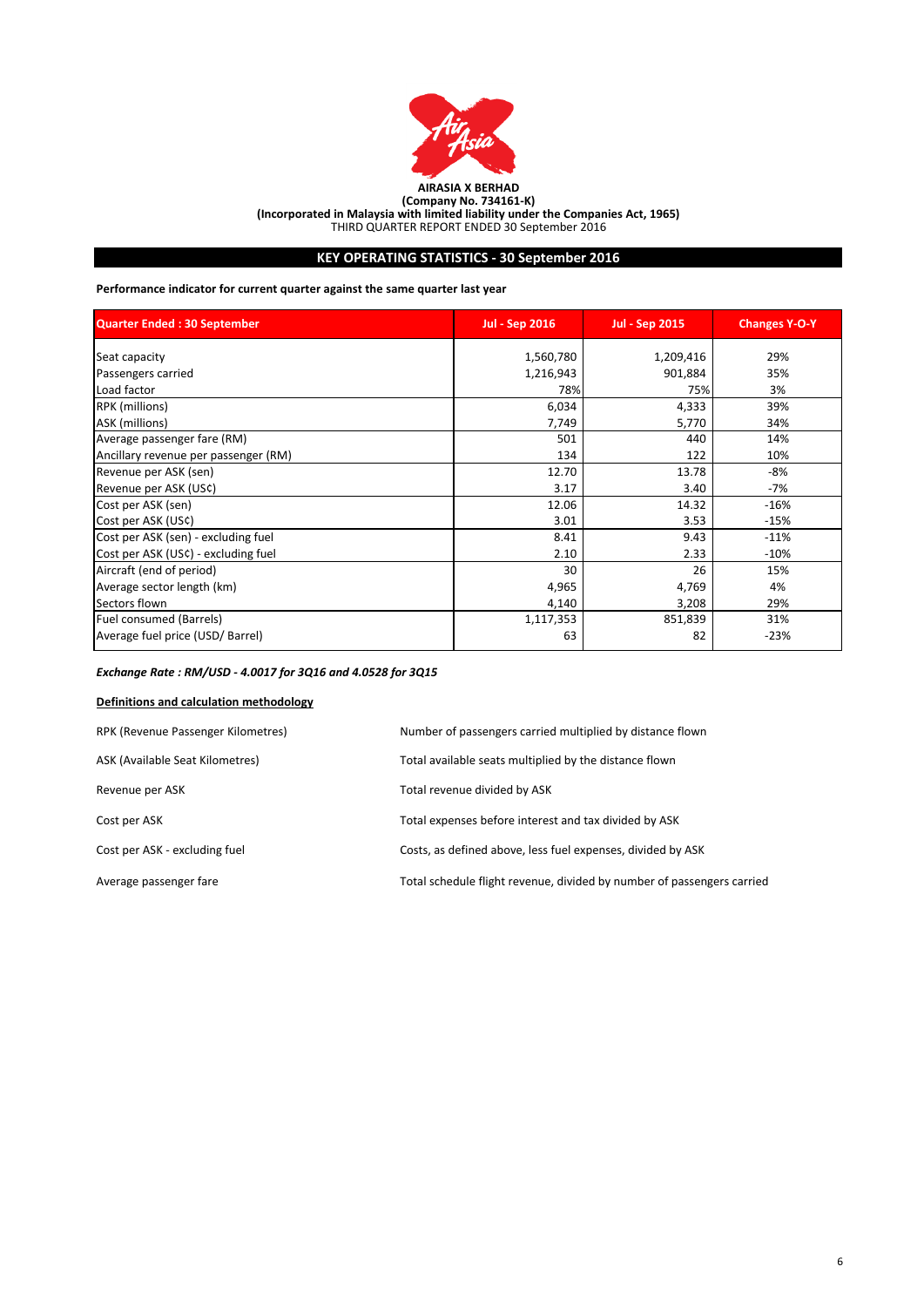

# **KEY OPERATING STATISTICS - 30 September 2016**

**Performance indicator for current quarter against the same quarter last year**

| <b>Quarter Ended: 30 September</b>   | <b>Jul - Sep 2016</b> | <b>Jul - Sep 2015</b> | <b>Changes Y-O-Y</b> |
|--------------------------------------|-----------------------|-----------------------|----------------------|
| Seat capacity                        | 1,560,780             | 1,209,416             | 29%                  |
| Passengers carried                   | 1,216,943             | 901,884               | 35%                  |
| Load factor                          | 78%                   | 75%                   | 3%                   |
| RPK (millions)                       | 6,034                 | 4,333                 | 39%                  |
| ASK (millions)                       | 7,749                 | 5,770                 | 34%                  |
| Average passenger fare (RM)          | 501                   | 440                   | 14%                  |
| Ancillary revenue per passenger (RM) | 134                   | 122                   | 10%                  |
| Revenue per ASK (sen)                | 12.70                 | 13.78                 | -8%                  |
| Revenue per ASK (US¢)                | 3.17                  | 3.40                  | $-7%$                |
| Cost per ASK (sen)                   | 12.06                 | 14.32                 | $-16%$               |
| Cost per ASK (US¢)                   | 3.01                  | 3.53                  | $-15%$               |
| Cost per ASK (sen) - excluding fuel  | 8.41                  | 9.43                  | $-11%$               |
| Cost per ASK (US¢) - excluding fuel  | 2.10                  | 2.33                  | $-10%$               |
| Aircraft (end of period)             | 30                    | 26                    | 15%                  |
| Average sector length (km)           | 4,965                 | 4,769                 | 4%                   |
| Sectors flown                        | 4,140                 | 3,208                 | 29%                  |
| Fuel consumed (Barrels)              | 1,117,353             | 851,839               | 31%                  |
| Average fuel price (USD/ Barrel)     | 63                    | 82                    | $-23%$               |

# *Exchange Rate : RM/USD - 4.0017 for 3Q16 and 4.0528 for 3Q15*

# **Definitions and calculation methodology**

| RPK (Revenue Passenger Kilometres) | Number of passengers carried multiplied by distance flown              |
|------------------------------------|------------------------------------------------------------------------|
| ASK (Available Seat Kilometres)    | Total available seats multiplied by the distance flown                 |
| Revenue per ASK                    | Total revenue divided by ASK                                           |
| Cost per ASK                       | Total expenses before interest and tax divided by ASK                  |
| Cost per ASK - excluding fuel      | Costs, as defined above, less fuel expenses, divided by ASK            |
| Average passenger fare             | Total schedule flight revenue, divided by number of passengers carried |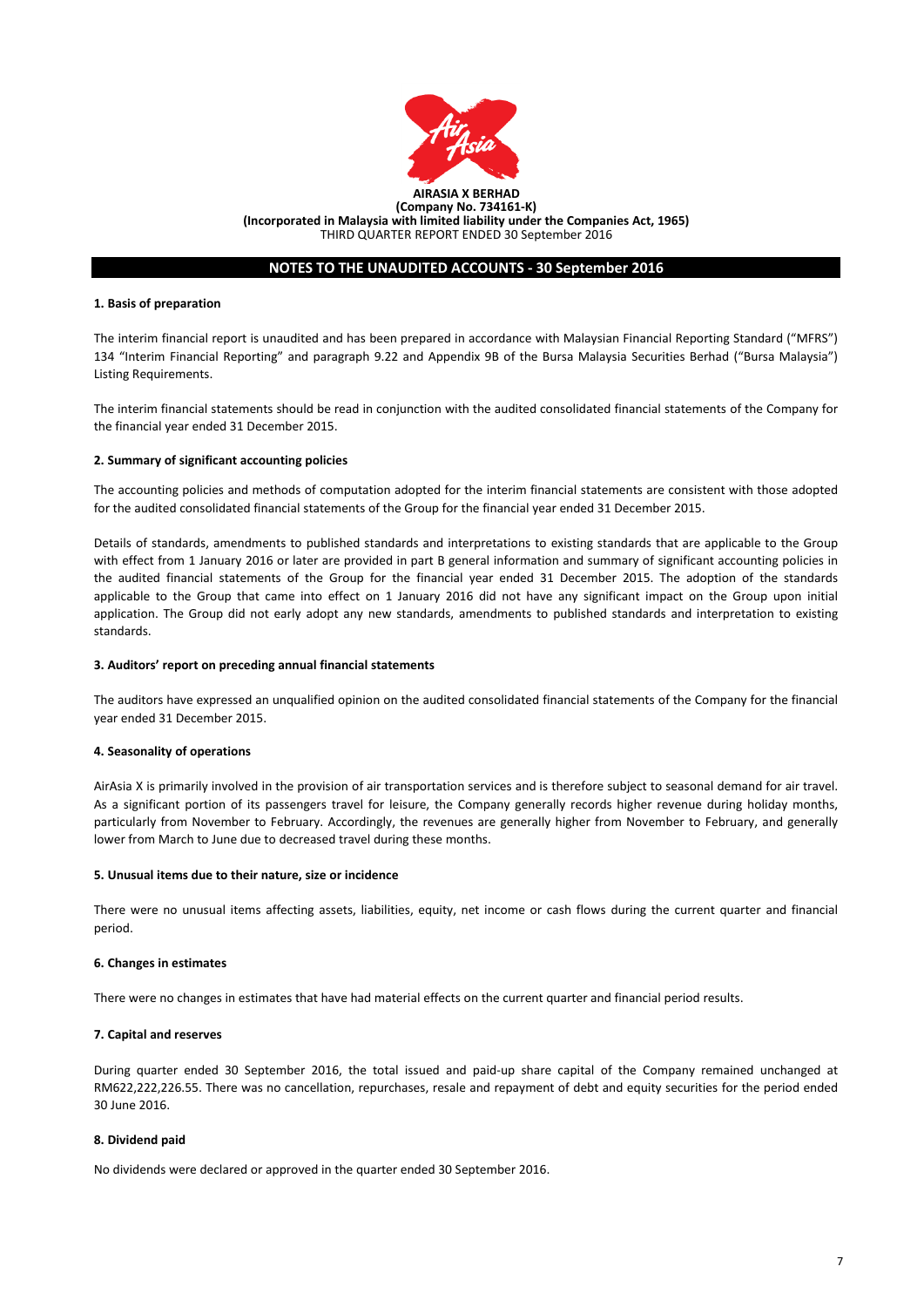

# **NOTES TO THE UNAUDITED ACCOUNTS - 30 September 2016**

#### **1. Basis of preparation**

The interim financial report is unaudited and has been prepared in accordance with Malaysian Financial Reporting Standard ("MFRS") 134 "Interim Financial Reporting" and paragraph 9.22 and Appendix 9B of the Bursa Malaysia Securities Berhad ("Bursa Malaysia") Listing Requirements.

The interim financial statements should be read in conjunction with the audited consolidated financial statements of the Company for the financial year ended 31 December 2015.

#### **2. Summary of significant accounting policies**

The accounting policies and methods of computation adopted for the interim financial statements are consistent with those adopted for the audited consolidated financial statements of the Group for the financial year ended 31 December 2015.

Details of standards, amendments to published standards and interpretations to existing standards that are applicable to the Group with effect from 1 January 2016 or later are provided in part B general information and summary of significant accounting policies in the audited financial statements of the Group for the financial year ended 31 December 2015. The adoption of the standards applicable to the Group that came into effect on 1 January 2016 did not have any significant impact on the Group upon initial application. The Group did not early adopt any new standards, amendments to published standards and interpretation to existing standards.

#### **3. Auditors' report on preceding annual financial statements**

The auditors have expressed an unqualified opinion on the audited consolidated financial statements of the Company for the financial year ended 31 December 2015.

#### **4. Seasonality of operations**

AirAsia X is primarily involved in the provision of air transportation services and is therefore subject to seasonal demand for air travel. As a significant portion of its passengers travel for leisure, the Company generally records higher revenue during holiday months, particularly from November to February. Accordingly, the revenues are generally higher from November to February, and generally lower from March to June due to decreased travel during these months.

#### **5. Unusual items due to their nature, size or incidence**

There were no unusual items affecting assets, liabilities, equity, net income or cash flows during the current quarter and financial period.

#### **6. Changes in estimates**

There were no changes in estimates that have had material effects on the current quarter and financial period results.

#### **7. Capital and reserves**

During quarter ended 30 September 2016, the total issued and paid-up share capital of the Company remained unchanged at RM622,222,226.55. There was no cancellation, repurchases, resale and repayment of debt and equity securities for the period ended 30 June 2016.

#### **8. Dividend paid**

No dividends were declared or approved in the quarter ended 30 September 2016.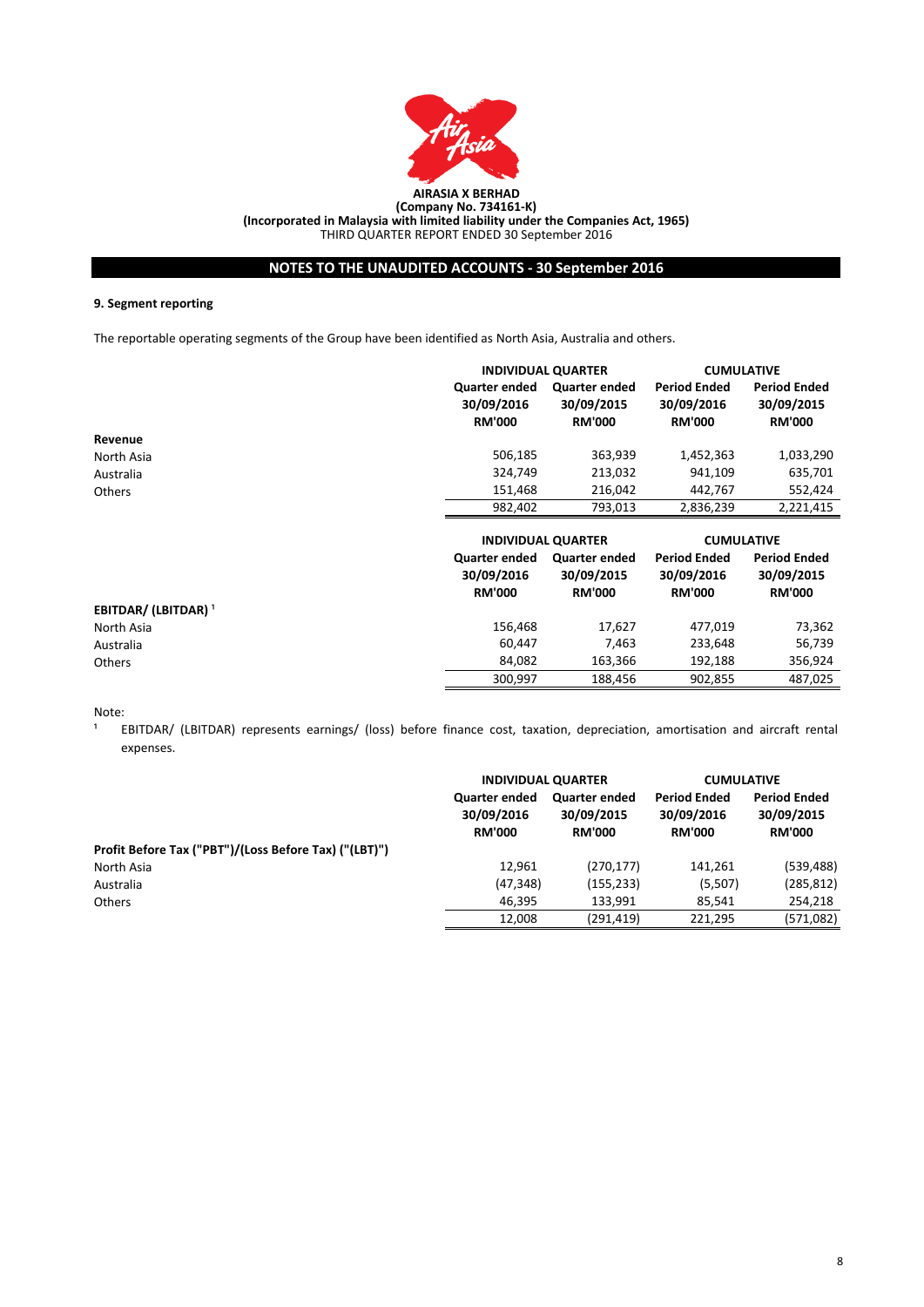

# **NOTES TO THE UNAUDITED ACCOUNTS - 30 September 2016**

### **9. Segment reporting**

The reportable operating segments of the Group have been identified as North Asia, Australia and others.

|               |                                                     | <b>INDIVIDUAL QUARTER</b>                           |                                                    | <b>CUMULATIVE</b>                                  |
|---------------|-----------------------------------------------------|-----------------------------------------------------|----------------------------------------------------|----------------------------------------------------|
|               | <b>Quarter ended</b><br>30/09/2016<br><b>RM'000</b> | <b>Quarter ended</b><br>30/09/2015<br><b>RM'000</b> | <b>Period Ended</b><br>30/09/2016<br><b>RM'000</b> | <b>Period Ended</b><br>30/09/2015<br><b>RM'000</b> |
| Revenue       |                                                     |                                                     |                                                    |                                                    |
| North Asia    | 506,185                                             | 363,939                                             | 1,452,363                                          | 1,033,290                                          |
| Australia     | 324,749                                             | 213,032                                             | 941,109                                            | 635,701                                            |
| <b>Others</b> | 151,468                                             | 216.042                                             | 442.767                                            | 552,424                                            |
|               | 982,402                                             | 793,013                                             | 2,836,239                                          | 2,221,415                                          |
|               |                                                     |                                                     |                                                    |                                                    |

|                                |                                                     | <b>INDIVIDUAL QUARTER</b>                           |                                                    | <b>CUMULATIVE</b>                                  |  |
|--------------------------------|-----------------------------------------------------|-----------------------------------------------------|----------------------------------------------------|----------------------------------------------------|--|
|                                | <b>Quarter ended</b><br>30/09/2016<br><b>RM'000</b> | <b>Quarter ended</b><br>30/09/2015<br><b>RM'000</b> | <b>Period Ended</b><br>30/09/2016<br><b>RM'000</b> | <b>Period Ended</b><br>30/09/2015<br><b>RM'000</b> |  |
| EBITDAR/(LBITDAR) <sup>1</sup> |                                                     |                                                     |                                                    |                                                    |  |
| North Asia                     | 156,468                                             | 17.627                                              | 477,019                                            | 73,362                                             |  |
| Australia                      | 60.447                                              | 7.463                                               | 233,648                                            | 56,739                                             |  |
| <b>Others</b>                  | 84.082                                              | 163,366                                             | 192.188                                            | 356,924                                            |  |
|                                | 300.997                                             | 188.456                                             | 902.855                                            | 487.025                                            |  |

Note:

1 EBITDAR/ (LBITDAR) represents earnings/ (loss) before finance cost, taxation, depreciation, amortisation and aircraft rental expenses.

|                                                       | <b>INDIVIDUAL QUARTER</b>                           |                                                     | <b>CUMULATIVE</b>                                  |                                                    |
|-------------------------------------------------------|-----------------------------------------------------|-----------------------------------------------------|----------------------------------------------------|----------------------------------------------------|
|                                                       | <b>Quarter ended</b><br>30/09/2016<br><b>RM'000</b> | <b>Quarter ended</b><br>30/09/2015<br><b>RM'000</b> | <b>Period Ended</b><br>30/09/2016<br><b>RM'000</b> | <b>Period Ended</b><br>30/09/2015<br><b>RM'000</b> |
| Profit Before Tax ("PBT")/(Loss Before Tax) ("(LBT)") |                                                     |                                                     |                                                    |                                                    |
| North Asia                                            | 12,961                                              | (270, 177)                                          | 141,261                                            | (539, 488)                                         |
| Australia                                             | (47, 348)                                           | (155, 233)                                          | (5,507)                                            | (285, 812)                                         |
| <b>Others</b>                                         | 46.395                                              | 133.991                                             | 85,541                                             | 254,218                                            |
|                                                       | 12,008                                              | (291,419)                                           | 221.295                                            | (571,082)                                          |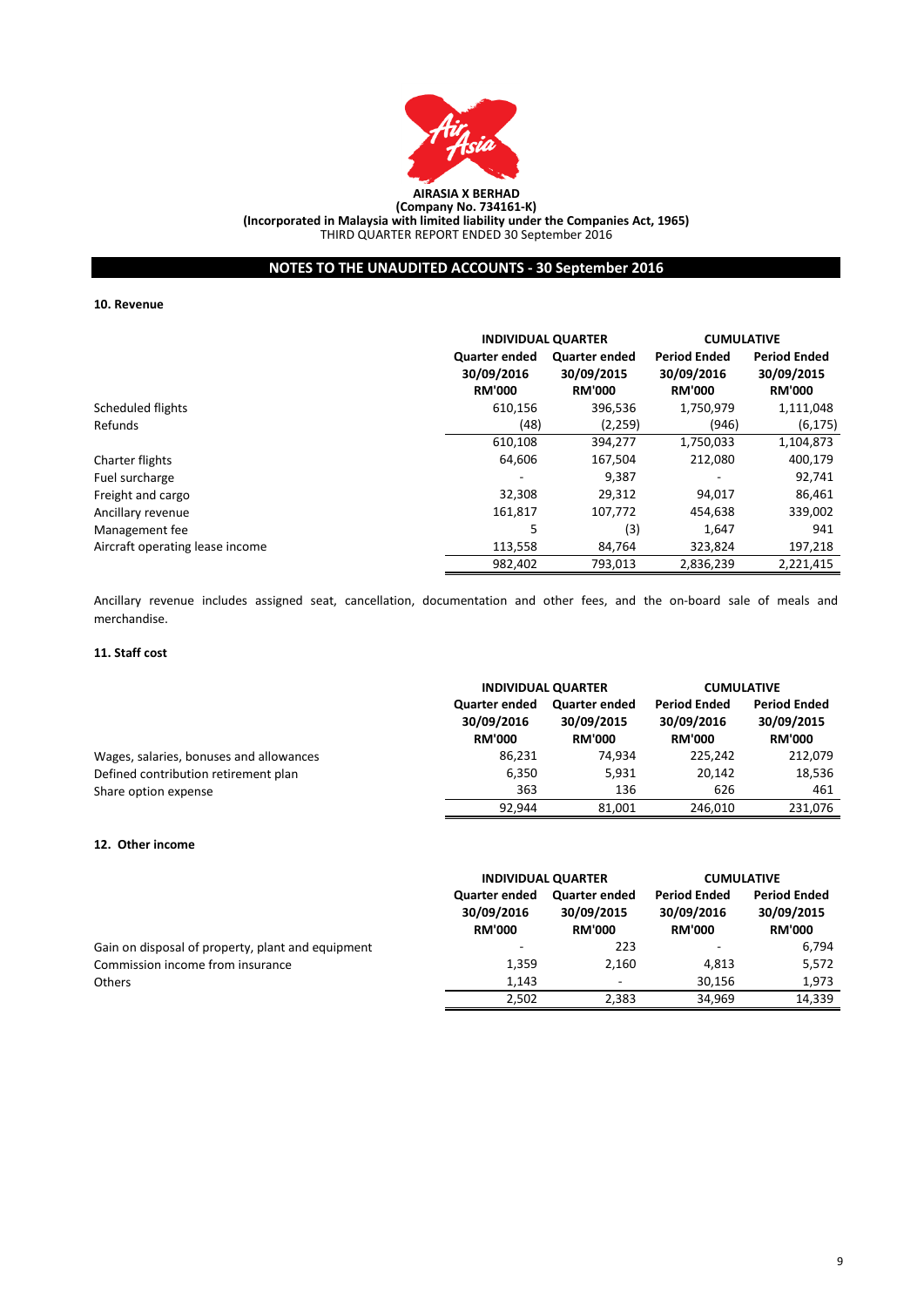

# **NOTES TO THE UNAUDITED ACCOUNTS - 30 September 2016**

#### **10. Revenue**

|                                 |                                              | <b>INDIVIDUAL QUARTER</b>                           |                                                    | <b>CUMULATIVE</b>                                  |  |
|---------------------------------|----------------------------------------------|-----------------------------------------------------|----------------------------------------------------|----------------------------------------------------|--|
|                                 | Quarter ended<br>30/09/2016<br><b>RM'000</b> | <b>Quarter ended</b><br>30/09/2015<br><b>RM'000</b> | <b>Period Ended</b><br>30/09/2016<br><b>RM'000</b> | <b>Period Ended</b><br>30/09/2015<br><b>RM'000</b> |  |
| Scheduled flights               | 610,156                                      | 396,536                                             | 1,750,979                                          | 1,111,048                                          |  |
| Refunds                         | (48)                                         | (2,259)                                             | (946)                                              | (6, 175)                                           |  |
|                                 | 610,108                                      | 394,277                                             | 1,750,033                                          | 1,104,873                                          |  |
| Charter flights                 | 64,606                                       | 167,504                                             | 212,080                                            | 400,179                                            |  |
| Fuel surcharge                  |                                              | 9,387                                               | $\overline{\phantom{a}}$                           | 92,741                                             |  |
| Freight and cargo               | 32,308                                       | 29,312                                              | 94,017                                             | 86,461                                             |  |
| Ancillary revenue               | 161,817                                      | 107,772                                             | 454,638                                            | 339,002                                            |  |
| Management fee                  | 5                                            | (3)                                                 | 1,647                                              | 941                                                |  |
| Aircraft operating lease income | 113,558                                      | 84,764                                              | 323,824                                            | 197,218                                            |  |
|                                 | 982,402                                      | 793,013                                             | 2,836,239                                          | 2,221,415                                          |  |

Ancillary revenue includes assigned seat, cancellation, documentation and other fees, and the on-board sale of meals and merchandise.

# **11. Staff cost**

|                                         | <b>INDIVIDUAL QUARTER</b>                           |                                                     | <b>CUMULATIVE</b>                                  |                                                    |
|-----------------------------------------|-----------------------------------------------------|-----------------------------------------------------|----------------------------------------------------|----------------------------------------------------|
|                                         | <b>Quarter ended</b><br>30/09/2016<br><b>RM'000</b> | <b>Quarter ended</b><br>30/09/2015<br><b>RM'000</b> | <b>Period Ended</b><br>30/09/2016<br><b>RM'000</b> | <b>Period Ended</b><br>30/09/2015<br><b>RM'000</b> |
| Wages, salaries, bonuses and allowances | 86,231                                              | 74.934                                              | 225.242                                            | 212,079                                            |
| Defined contribution retirement plan    | 6,350                                               | 5.931                                               | 20.142                                             | 18,536                                             |
| Share option expense                    | 363                                                 | 136                                                 | 626                                                | 461                                                |
|                                         | 92.944                                              | 81.001                                              | 246,010                                            | 231,076                                            |

# **12. Other income**

|                                                   |                                                     | <b>INDIVIDUAL QUARTER</b>                           |                                                    | <b>CUMULATIVE</b>                                  |  |
|---------------------------------------------------|-----------------------------------------------------|-----------------------------------------------------|----------------------------------------------------|----------------------------------------------------|--|
|                                                   | <b>Quarter ended</b><br>30/09/2016<br><b>RM'000</b> | <b>Quarter ended</b><br>30/09/2015<br><b>RM'000</b> | <b>Period Ended</b><br>30/09/2016<br><b>RM'000</b> | <b>Period Ended</b><br>30/09/2015<br><b>RM'000</b> |  |
| Gain on disposal of property, plant and equipment |                                                     | 223                                                 | ۰                                                  | 6,794                                              |  |
| Commission income from insurance                  | 1.359                                               | 2,160                                               | 4.813                                              | 5,572                                              |  |
| <b>Others</b>                                     | 1,143                                               | $\overline{\phantom{a}}$                            | 30.156                                             | 1,973                                              |  |
|                                                   | 2,502                                               | 2,383                                               | 34,969                                             | 14,339                                             |  |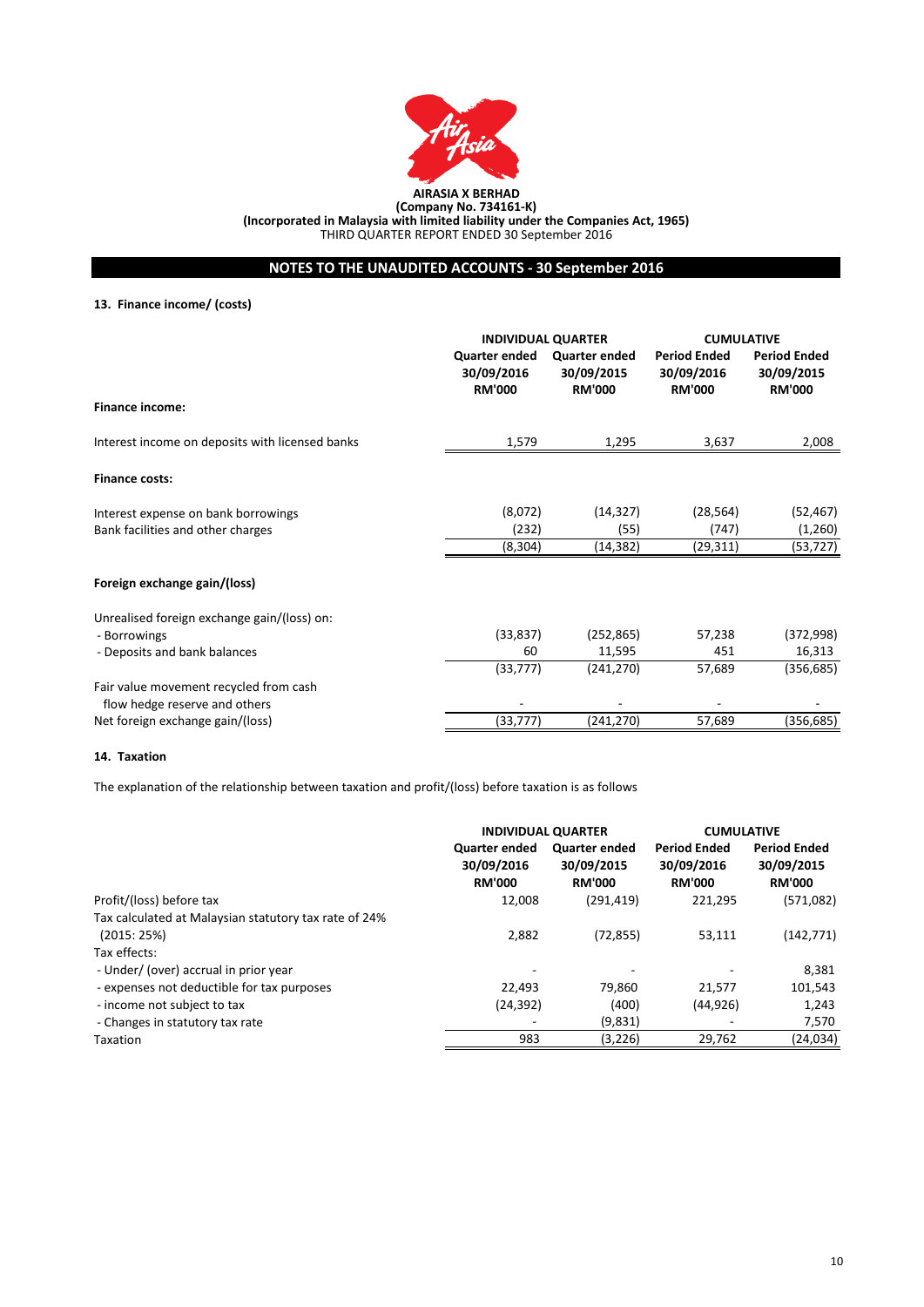

**NOTES TO THE UNAUDITED ACCOUNTS - 30 September 2016**

# **13. Finance income/ (costs)**

|                                                 | <b>INDIVIDUAL QUARTER</b>                    |                                              | <b>CUMULATIVE</b>                                  |                                                    |
|-------------------------------------------------|----------------------------------------------|----------------------------------------------|----------------------------------------------------|----------------------------------------------------|
|                                                 | Quarter ended<br>30/09/2016<br><b>RM'000</b> | Quarter ended<br>30/09/2015<br><b>RM'000</b> | <b>Period Ended</b><br>30/09/2016<br><b>RM'000</b> | <b>Period Ended</b><br>30/09/2015<br><b>RM'000</b> |
| <b>Finance income:</b>                          |                                              |                                              |                                                    |                                                    |
| Interest income on deposits with licensed banks | 1,579                                        | 1,295                                        | 3,637                                              | 2,008                                              |
| <b>Finance costs:</b>                           |                                              |                                              |                                                    |                                                    |
| Interest expense on bank borrowings             | (8,072)                                      | (14, 327)                                    | (28, 564)                                          | (52, 467)                                          |
| Bank facilities and other charges               | (232)                                        | (55)                                         | (747)                                              | (1,260)                                            |
|                                                 | (8, 304)                                     | (14,382)                                     | (29,311)                                           | (53, 727)                                          |
| Foreign exchange gain/(loss)                    |                                              |                                              |                                                    |                                                    |
| Unrealised foreign exchange gain/(loss) on:     |                                              |                                              |                                                    |                                                    |
| - Borrowings                                    | (33, 837)                                    | (252, 865)                                   | 57,238                                             | (372,998)                                          |
| - Deposits and bank balances                    | 60                                           | 11,595                                       | 451                                                | 16,313                                             |
|                                                 | (33, 777)                                    | (241, 270)                                   | 57,689                                             | (356, 685)                                         |
| Fair value movement recycled from cash          |                                              |                                              |                                                    |                                                    |
| flow hedge reserve and others                   |                                              |                                              |                                                    |                                                    |
| Net foreign exchange gain/(loss)                | (33, 777)                                    | (241,270)                                    | 57,689                                             | (356, 685)                                         |

### **14. Taxation**

The explanation of the relationship between taxation and profit/(loss) before taxation is as follows

|                                                       |                                              | <b>INDIVIDUAL QUARTER</b>                           |                                                    | <b>CUMULATIVE</b>                                  |
|-------------------------------------------------------|----------------------------------------------|-----------------------------------------------------|----------------------------------------------------|----------------------------------------------------|
|                                                       | Quarter ended<br>30/09/2016<br><b>RM'000</b> | <b>Quarter ended</b><br>30/09/2015<br><b>RM'000</b> | <b>Period Ended</b><br>30/09/2016<br><b>RM'000</b> | <b>Period Ended</b><br>30/09/2015<br><b>RM'000</b> |
| Profit/(loss) before tax                              | 12,008                                       | (291, 419)                                          | 221,295                                            | (571,082)                                          |
| Tax calculated at Malaysian statutory tax rate of 24% |                                              |                                                     |                                                    |                                                    |
| (2015:25%)                                            | 2,882                                        | (72, 855)                                           | 53,111                                             | (142, 771)                                         |
| Tax effects:                                          |                                              |                                                     |                                                    |                                                    |
| - Under/ (over) accrual in prior year                 |                                              |                                                     |                                                    | 8.381                                              |
| - expenses not deductible for tax purposes            | 22.493                                       | 79.860                                              | 21,577                                             | 101,543                                            |
| - income not subject to tax                           | (24, 392)                                    | (400)                                               | (44, 926)                                          | 1,243                                              |
| - Changes in statutory tax rate                       |                                              | (9,831)                                             |                                                    | 7,570                                              |
| <b>Taxation</b>                                       | 983                                          | (3,226)                                             | 29,762                                             | (24, 034)                                          |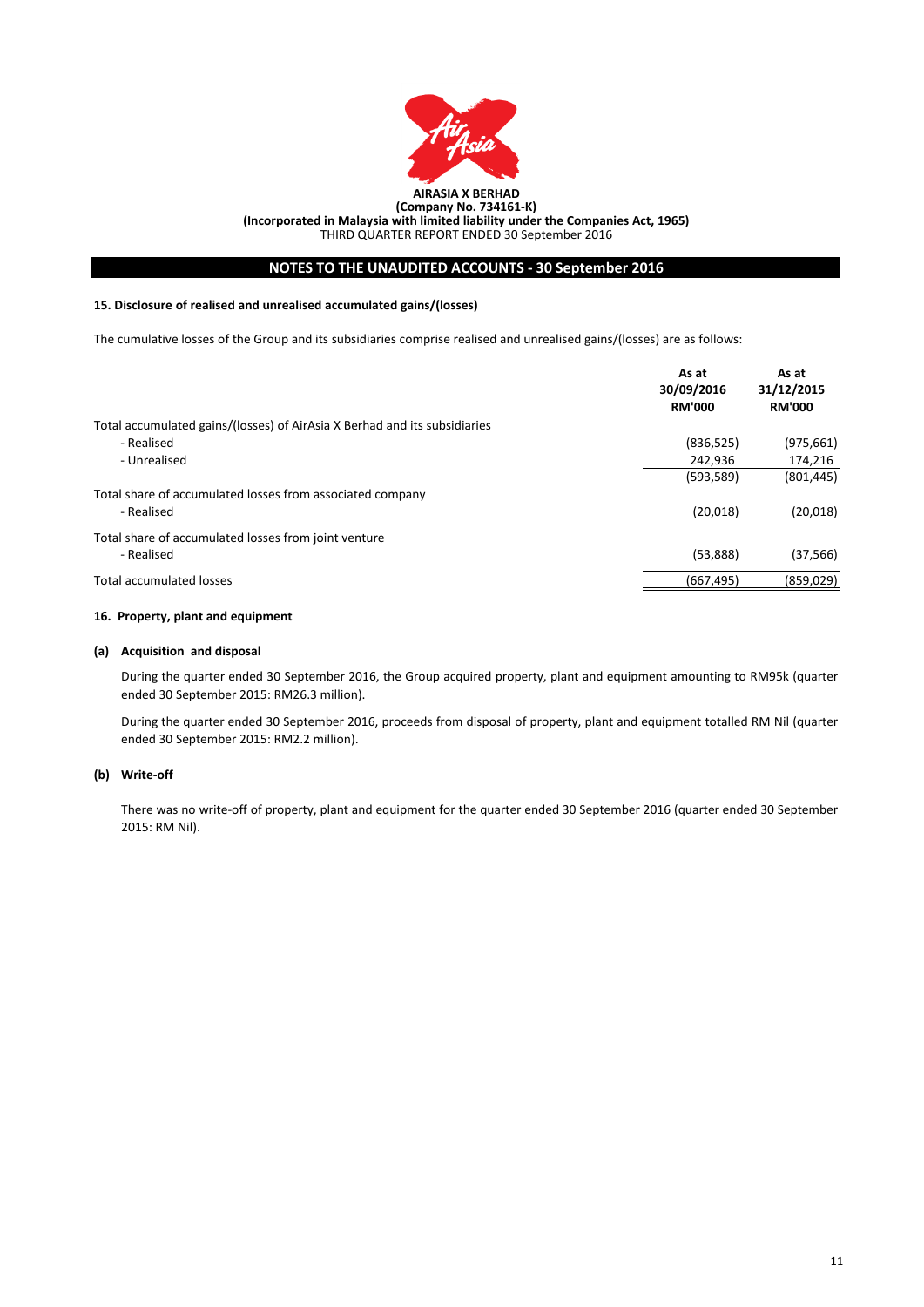

# **NOTES TO THE UNAUDITED ACCOUNTS - 30 September 2016**

### **15. Disclosure of realised and unrealised accumulated gains/(losses)**

The cumulative losses of the Group and its subsidiaries comprise realised and unrealised gains/(losses) are as follows:

| Total accumulated gains/(losses) of AirAsia X Berhad and its subsidiaries<br>- Realised<br>(836, 525)<br>(975, 661)<br>- Unrealised<br>174,216<br>242,936<br>(593, 589)<br>(801, 445)<br>Total share of accumulated losses from associated company<br>(20,018)<br>(20, 018)<br>- Realised<br>Total share of accumulated losses from joint venture<br>(53,888)<br>(37, 566)<br>- Realised<br>Total accumulated losses<br>(667, 495)<br>(859, 029) | As at<br>30/09/2016<br><b>RM'000</b> | As at<br>31/12/2015<br><b>RM'000</b> |
|--------------------------------------------------------------------------------------------------------------------------------------------------------------------------------------------------------------------------------------------------------------------------------------------------------------------------------------------------------------------------------------------------------------------------------------------------|--------------------------------------|--------------------------------------|
|                                                                                                                                                                                                                                                                                                                                                                                                                                                  |                                      |                                      |
|                                                                                                                                                                                                                                                                                                                                                                                                                                                  |                                      |                                      |
|                                                                                                                                                                                                                                                                                                                                                                                                                                                  |                                      |                                      |
|                                                                                                                                                                                                                                                                                                                                                                                                                                                  |                                      |                                      |
|                                                                                                                                                                                                                                                                                                                                                                                                                                                  |                                      |                                      |
|                                                                                                                                                                                                                                                                                                                                                                                                                                                  |                                      |                                      |
|                                                                                                                                                                                                                                                                                                                                                                                                                                                  |                                      |                                      |
|                                                                                                                                                                                                                                                                                                                                                                                                                                                  |                                      |                                      |
|                                                                                                                                                                                                                                                                                                                                                                                                                                                  |                                      |                                      |

### **16. Property, plant and equipment**

### **(a) Acquisition and disposal**

During the quarter ended 30 September 2016, the Group acquired property, plant and equipment amounting to RM95k (quarter ended 30 September 2015: RM26.3 million).

During the quarter ended 30 September 2016, proceeds from disposal of property, plant and equipment totalled RM Nil (quarter ended 30 September 2015: RM2.2 million).

#### **(b) Write-off**

There was no write-off of property, plant and equipment for the quarter ended 30 September 2016 (quarter ended 30 September 2015: RM Nil).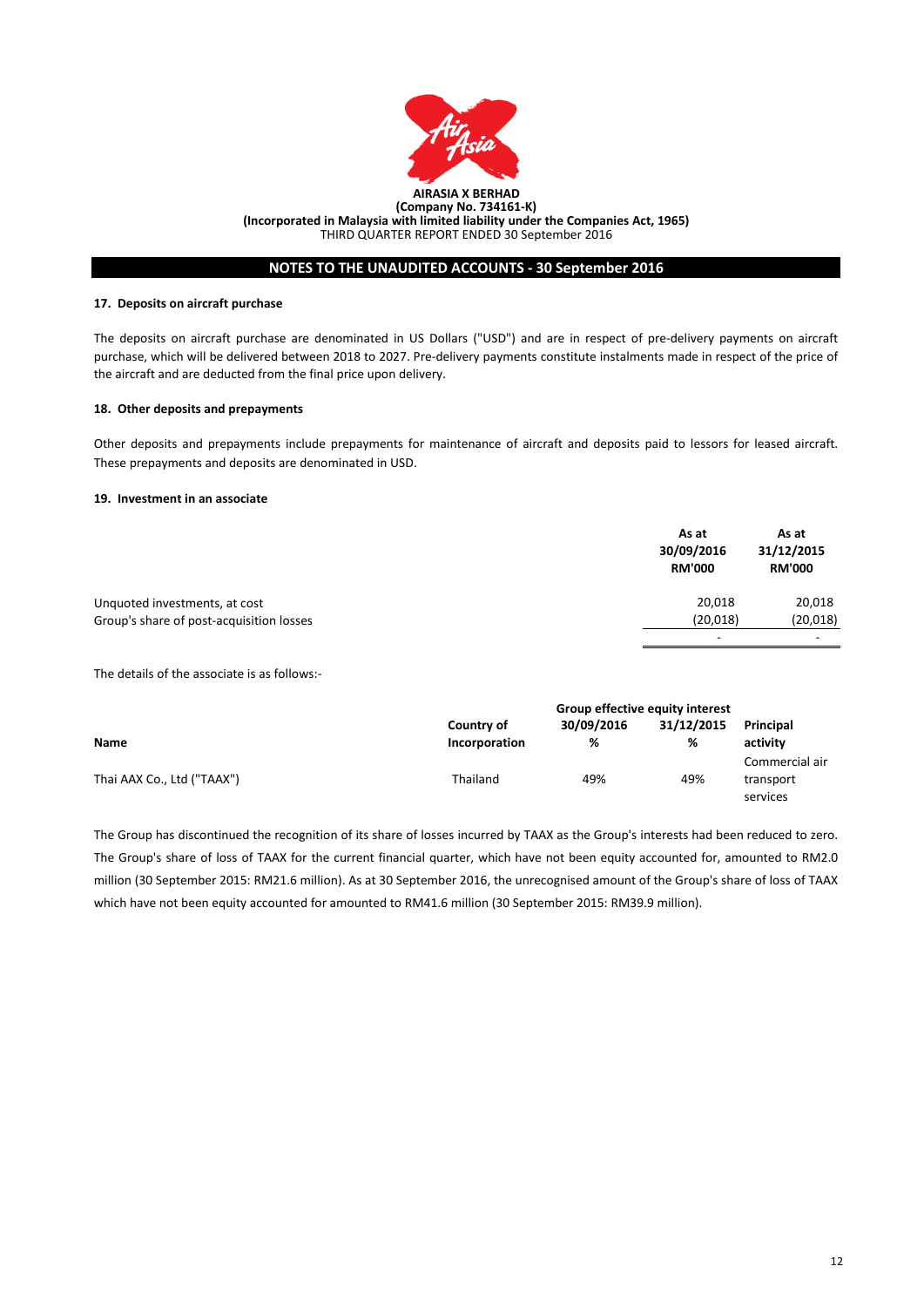

# **NOTES TO THE UNAUDITED ACCOUNTS - 30 September 2016**

#### **17. Deposits on aircraft purchase**

The deposits on aircraft purchase are denominated in US Dollars ("USD") and are in respect of pre-delivery payments on aircraft purchase, which will be delivered between 2018 to 2027. Pre-delivery payments constitute instalments made in respect of the price of the aircraft and are deducted from the final price upon delivery.

# **18. Other deposits and prepayments**

Other deposits and prepayments include prepayments for maintenance of aircraft and deposits paid to lessors for leased aircraft. These prepayments and deposits are denominated in USD.

### **19. Investment in an associate**

|                                          | As at<br>30/09/2016<br><b>RM'000</b> | As at<br>31/12/2015<br><b>RM'000</b> |
|------------------------------------------|--------------------------------------|--------------------------------------|
| Unquoted investments, at cost            | 20,018                               | 20,018                               |
| Group's share of post-acquisition losses | (20, 018)                            | (20, 018)                            |
|                                          | -                                    | $\overline{\phantom{a}}$             |

The details of the associate is as follows:-

|                            | Group effective equity interest |            |            |                |
|----------------------------|---------------------------------|------------|------------|----------------|
|                            | Country of                      | 30/09/2016 | 31/12/2015 | Principal      |
| <b>Name</b>                | Incorporation                   | %          | %          | activity       |
|                            |                                 |            |            | Commercial air |
| Thai AAX Co., Ltd ("TAAX") | Thailand                        | 49%        | 49%        | transport      |
|                            |                                 |            |            | services       |

The Group has discontinued the recognition of its share of losses incurred by TAAX as the Group's interests had been reduced to zero. The Group's share of loss of TAAX for the current financial quarter, which have not been equity accounted for, amounted to RM2.0 million (30 September 2015: RM21.6 million). As at 30 September 2016, the unrecognised amount of the Group's share of loss of TAAX which have not been equity accounted for amounted to RM41.6 million (30 September 2015: RM39.9 million).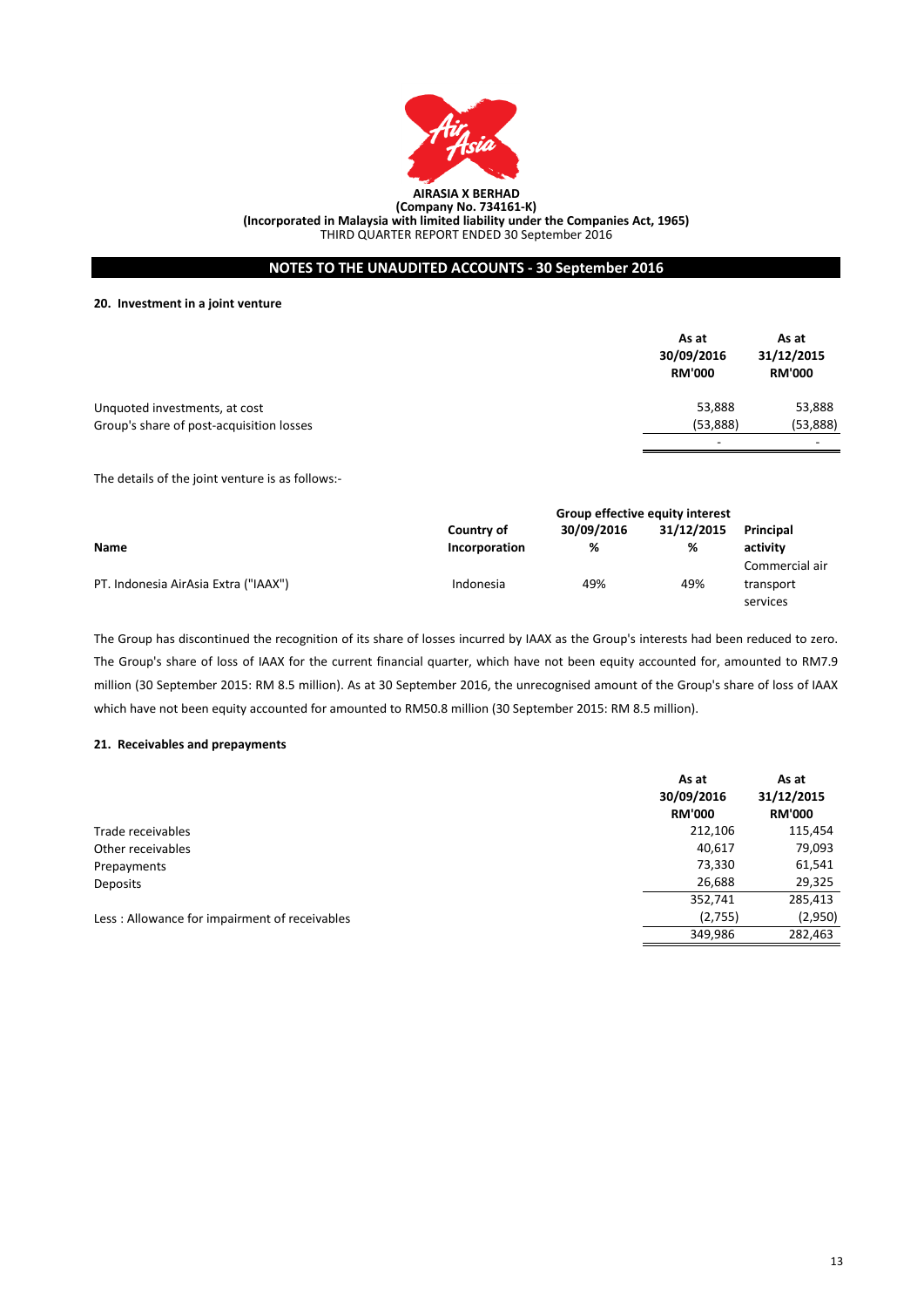

# **NOTES TO THE UNAUDITED ACCOUNTS - 30 September 2016**

**20. Investment in a joint venture**

|                                          | As at<br>30/09/2016<br><b>RM'000</b> | As at<br>31/12/2015<br><b>RM'000</b> |
|------------------------------------------|--------------------------------------|--------------------------------------|
| Unquoted investments, at cost            | 53,888                               | 53,888                               |
| Group's share of post-acquisition losses | (53,888)                             | (53,888)                             |
|                                          |                                      |                                      |

The details of the joint venture is as follows:-

|                                      | Group effective equity interest |            |            |                |
|--------------------------------------|---------------------------------|------------|------------|----------------|
|                                      | Country of                      | 30/09/2016 | 31/12/2015 | Principal      |
| <b>Name</b>                          | Incorporation                   | %          | %          | activity       |
|                                      |                                 |            |            | Commercial air |
| PT. Indonesia AirAsia Extra ("IAAX") | Indonesia                       | 49%        | 49%        | transport      |
|                                      |                                 |            |            | services       |

The Group has discontinued the recognition of its share of losses incurred by IAAX as the Group's interests had been reduced to zero. The Group's share of loss of IAAX for the current financial quarter, which have not been equity accounted for, amounted to RM7.9 million (30 September 2015: RM 8.5 million). As at 30 September 2016, the unrecognised amount of the Group's share of loss of IAAX which have not been equity accounted for amounted to RM50.8 million (30 September 2015: RM 8.5 million).

#### **21. Receivables and prepayments**

|                                               | As at<br>30/09/2016<br><b>RM'000</b> | As at<br>31/12/2015<br><b>RM'000</b> |
|-----------------------------------------------|--------------------------------------|--------------------------------------|
| Trade receivables                             | 212,106                              | 115,454                              |
| Other receivables                             | 40,617                               | 79,093                               |
| Prepayments                                   | 73,330                               | 61,541                               |
| Deposits                                      | 26,688                               | 29,325                               |
|                                               | 352,741                              | 285,413                              |
| Less: Allowance for impairment of receivables | (2,755)                              | (2,950)                              |
|                                               | 349,986                              | 282,463                              |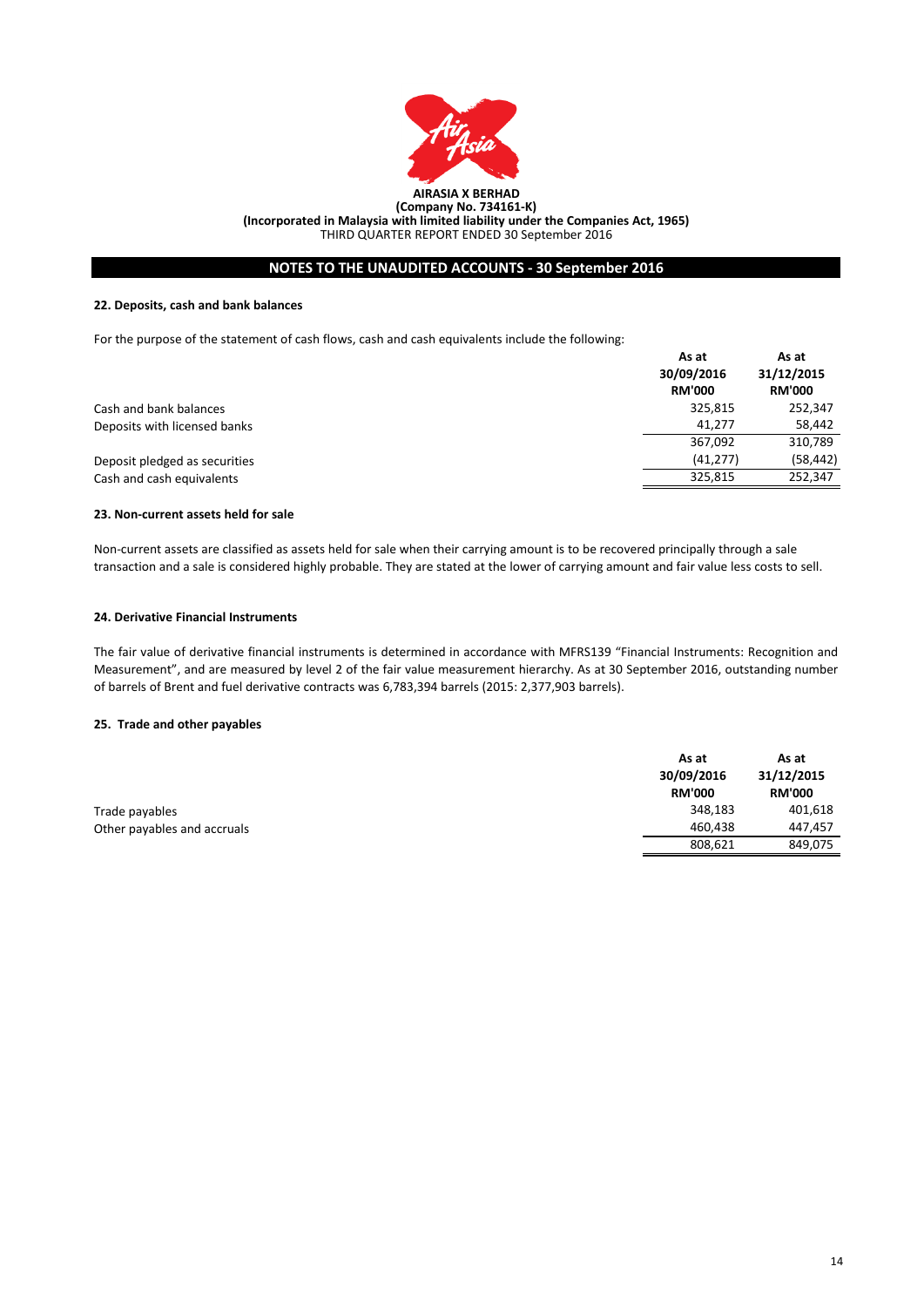

# **NOTES TO THE UNAUDITED ACCOUNTS - 30 September 2016**

### **22. Deposits, cash and bank balances**

For the purpose of the statement of cash flows, cash and cash equivalents include the following:

|                               | As at<br>30/09/2016<br><b>RM'000</b> | As at<br>31/12/2015<br><b>RM'000</b> |
|-------------------------------|--------------------------------------|--------------------------------------|
| Cash and bank balances        | 325,815                              | 252,347                              |
| Deposits with licensed banks  | 41.277                               | 58,442                               |
|                               | 367,092                              | 310,789                              |
| Deposit pledged as securities | (41, 277)                            | (58, 442)                            |
| Cash and cash equivalents     | 325.815                              | 252,347                              |

## **23. Non-current assets held for sale**

Non-current assets are classified as assets held for sale when their carrying amount is to be recovered principally through a sale transaction and a sale is considered highly probable. They are stated at the lower of carrying amount and fair value less costs to sell.

### **24. Derivative Financial Instruments**

The fair value of derivative financial instruments is determined in accordance with MFRS139 "Financial Instruments: Recognition and Measurement", and are measured by level 2 of the fair value measurement hierarchy. As at 30 September 2016, outstanding number of barrels of Brent and fuel derivative contracts was 6,783,394 barrels (2015: 2,377,903 barrels).

### **25. Trade and other payables**

|                             | As at         | As at         |
|-----------------------------|---------------|---------------|
|                             | 30/09/2016    | 31/12/2015    |
|                             | <b>RM'000</b> | <b>RM'000</b> |
| Trade payables              | 348,183       | 401,618       |
| Other payables and accruals | 460.438       | 447.457       |
|                             | 808,621       | 849,075       |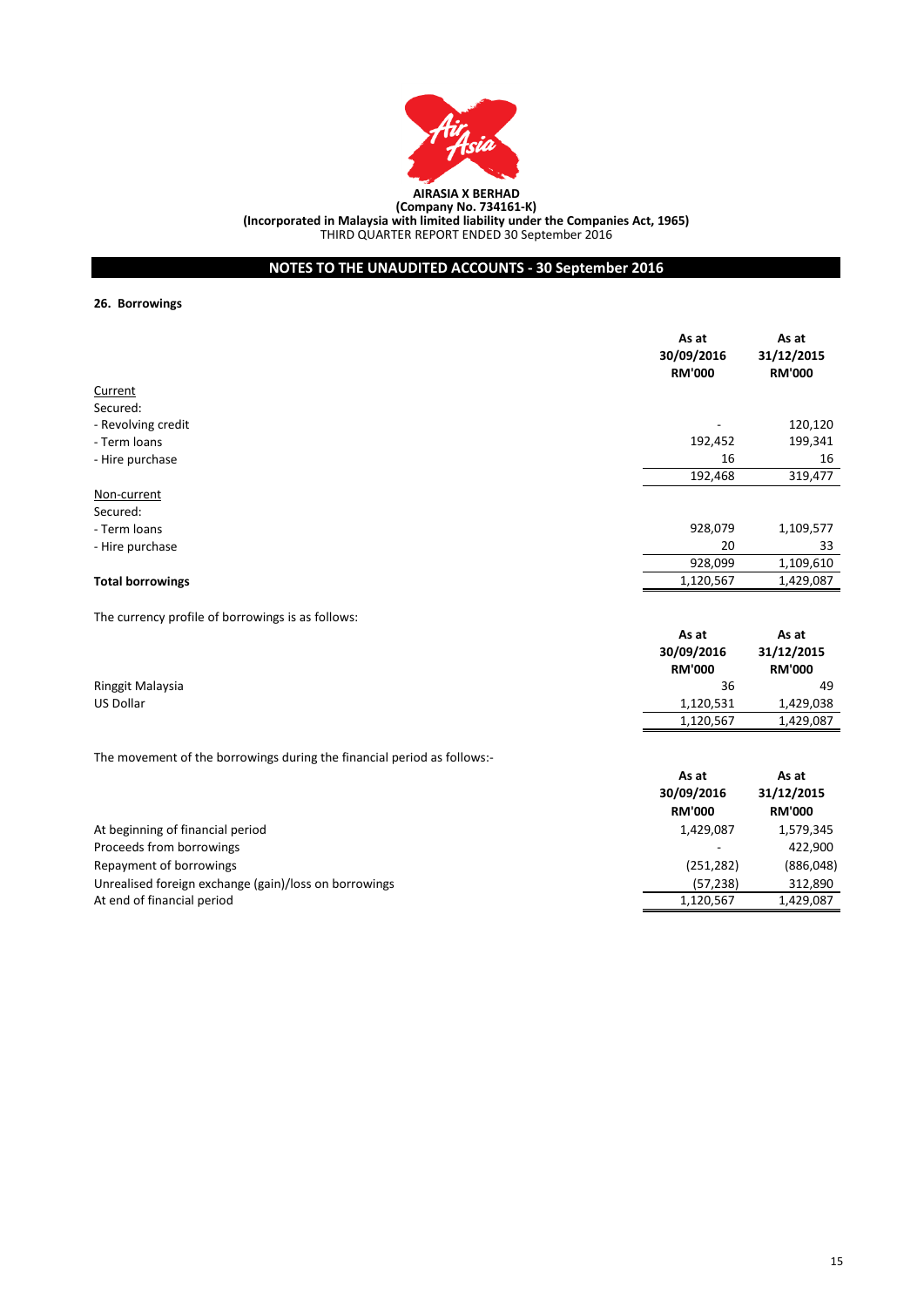

# **NOTES TO THE UNAUDITED ACCOUNTS - 30 September 2016**

### **26. Borrowings**

|                         | As at<br>30/09/2016<br><b>RM'000</b> | As at<br>31/12/2015<br><b>RM'000</b> |
|-------------------------|--------------------------------------|--------------------------------------|
| Current                 |                                      |                                      |
| Secured:                |                                      |                                      |
| - Revolving credit      |                                      | 120,120                              |
| - Term loans            | 192,452                              | 199,341                              |
| - Hire purchase         | 16                                   | 16                                   |
|                         | 192,468                              | 319,477                              |
| Non-current             |                                      |                                      |
| Secured:                |                                      |                                      |
| - Term loans            | 928,079                              | 1,109,577                            |
| - Hire purchase         | 20                                   | 33                                   |
|                         | 928,099                              | 1,109,610                            |
| <b>Total borrowings</b> | 1,120,567                            | 1,429,087                            |

The currency profile of borrowings is as follows:

|                  | As at         | As at<br>31/12/2015<br><b>RM'000</b> |
|------------------|---------------|--------------------------------------|
|                  | 30/09/2016    |                                      |
|                  | <b>RM'000</b> |                                      |
| Ringgit Malaysia | 36            | 49                                   |
| US Dollar        | 1,120,531     | 1,429,038                            |
|                  | 1,120,567     | 1,429,087                            |

The movement of the borrowings during the financial period as follows:-

|                                                       | As at<br>30/09/2016<br><b>RM'000</b> | As at<br>31/12/2015<br><b>RM'000</b> |
|-------------------------------------------------------|--------------------------------------|--------------------------------------|
| At beginning of financial period                      | 1,429,087                            | 1,579,345                            |
| Proceeds from borrowings                              | $\overline{\phantom{a}}$             | 422.900                              |
| Repayment of borrowings                               | (251, 282)                           | (886, 048)                           |
| Unrealised foreign exchange (gain)/loss on borrowings | (57, 238)                            | 312,890                              |
| At end of financial period                            | 1,120,567                            | 1,429,087                            |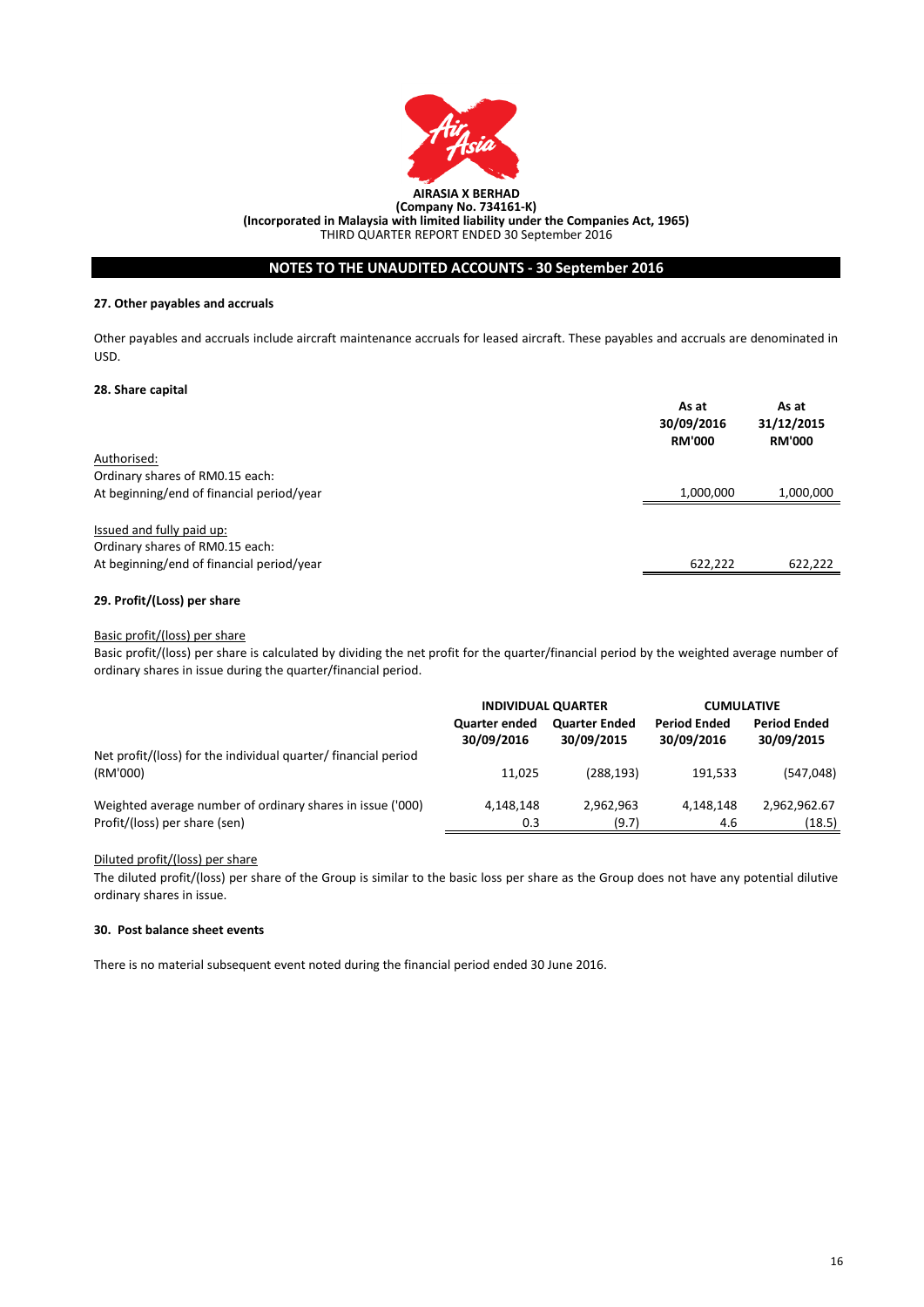

# **NOTES TO THE UNAUDITED ACCOUNTS - 30 September 2016**

### **27. Other payables and accruals**

Other payables and accruals include aircraft maintenance accruals for leased aircraft. These payables and accruals are denominated in USD.

### **28. Share capital**

|                                                              | As at<br>30/09/2016<br><b>RM'000</b> | As at<br>31/12/2015<br><b>RM'000</b> |
|--------------------------------------------------------------|--------------------------------------|--------------------------------------|
| Authorised:                                                  |                                      |                                      |
| Ordinary shares of RM0.15 each:                              |                                      |                                      |
| At beginning/end of financial period/year                    | 1,000,000                            | 1,000,000                            |
| Issued and fully paid up:<br>Ordinary shares of RM0.15 each: |                                      |                                      |
| At beginning/end of financial period/year                    | 622,222                              | 622,222                              |

# **29. Profit/(Loss) per share**

### Basic profit/(loss) per share

Basic profit/(loss) per share is calculated by dividing the net profit for the quarter/financial period by the weighted average number of ordinary shares in issue during the quarter/financial period.

|                                                                | <b>INDIVIDUAL QUARTER</b>          |                                    | <b>CUMULATIVE</b>                 |                                   |
|----------------------------------------------------------------|------------------------------------|------------------------------------|-----------------------------------|-----------------------------------|
|                                                                | <b>Quarter ended</b><br>30/09/2016 | <b>Quarter Ended</b><br>30/09/2015 | <b>Period Ended</b><br>30/09/2016 | <b>Period Ended</b><br>30/09/2015 |
| Net profit/(loss) for the individual quarter/ financial period |                                    |                                    |                                   |                                   |
| (RM'000)                                                       | 11.025                             | (288.193)                          | 191.533                           | (547, 048)                        |
| Weighted average number of ordinary shares in issue ('000)     | 4,148,148                          | 2,962,963                          | 4.148.148                         | 2,962,962.67                      |
| Profit/(loss) per share (sen)                                  | 0.3                                | (9.7)                              | 4.6                               | (18.5)                            |

# Diluted profit/(loss) per share

The diluted profit/(loss) per share of the Group is similar to the basic loss per share as the Group does not have any potential dilutive ordinary shares in issue.

### **30. Post balance sheet events**

There is no material subsequent event noted during the financial period ended 30 June 2016.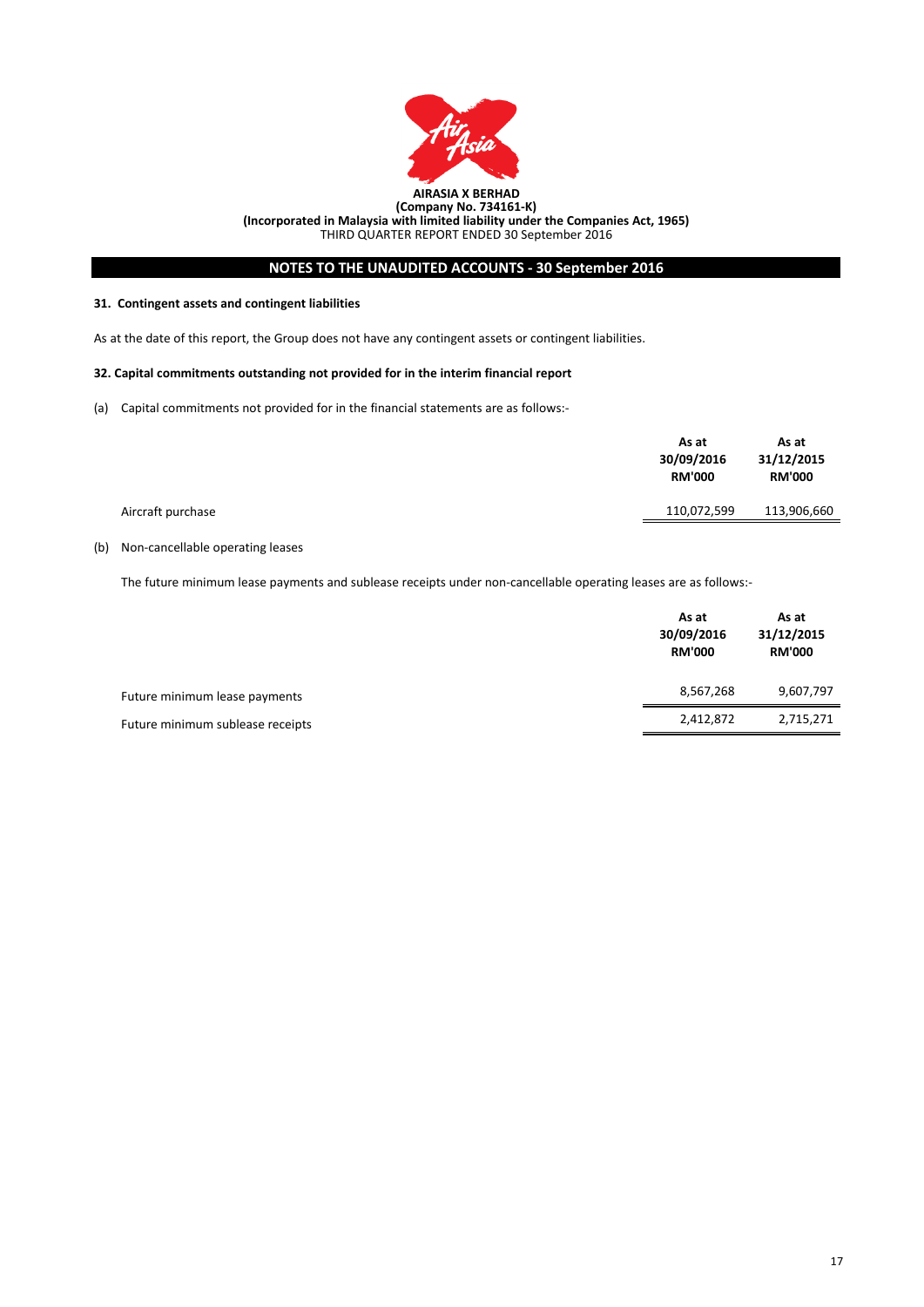

# **NOTES TO THE UNAUDITED ACCOUNTS - 30 September 2016**

#### **31. Contingent assets and contingent liabilities**

As at the date of this report, the Group does not have any contingent assets or contingent liabilities.

#### **32. Capital commitments outstanding not provided for in the interim financial report**

(a) Capital commitments not provided for in the financial statements are as follows:-

|                   | As at<br>30/09/2016<br><b>RM'000</b> | As at<br>31/12/2015<br><b>RM'000</b> |
|-------------------|--------------------------------------|--------------------------------------|
| Aircraft purchase | 110,072,599                          | 113,906,660                          |
|                   |                                      |                                      |

# (b) Non-cancellable operating leases

The future minimum lease payments and sublease receipts under non-cancellable operating leases are as follows:-

|                                  | As at<br>30/09/2016<br><b>RM'000</b> | As at<br>31/12/2015<br><b>RM'000</b> |
|----------------------------------|--------------------------------------|--------------------------------------|
| Future minimum lease payments    | 8,567,268                            | 9,607,797                            |
| Future minimum sublease receipts | 2,412,872                            | 2,715,271                            |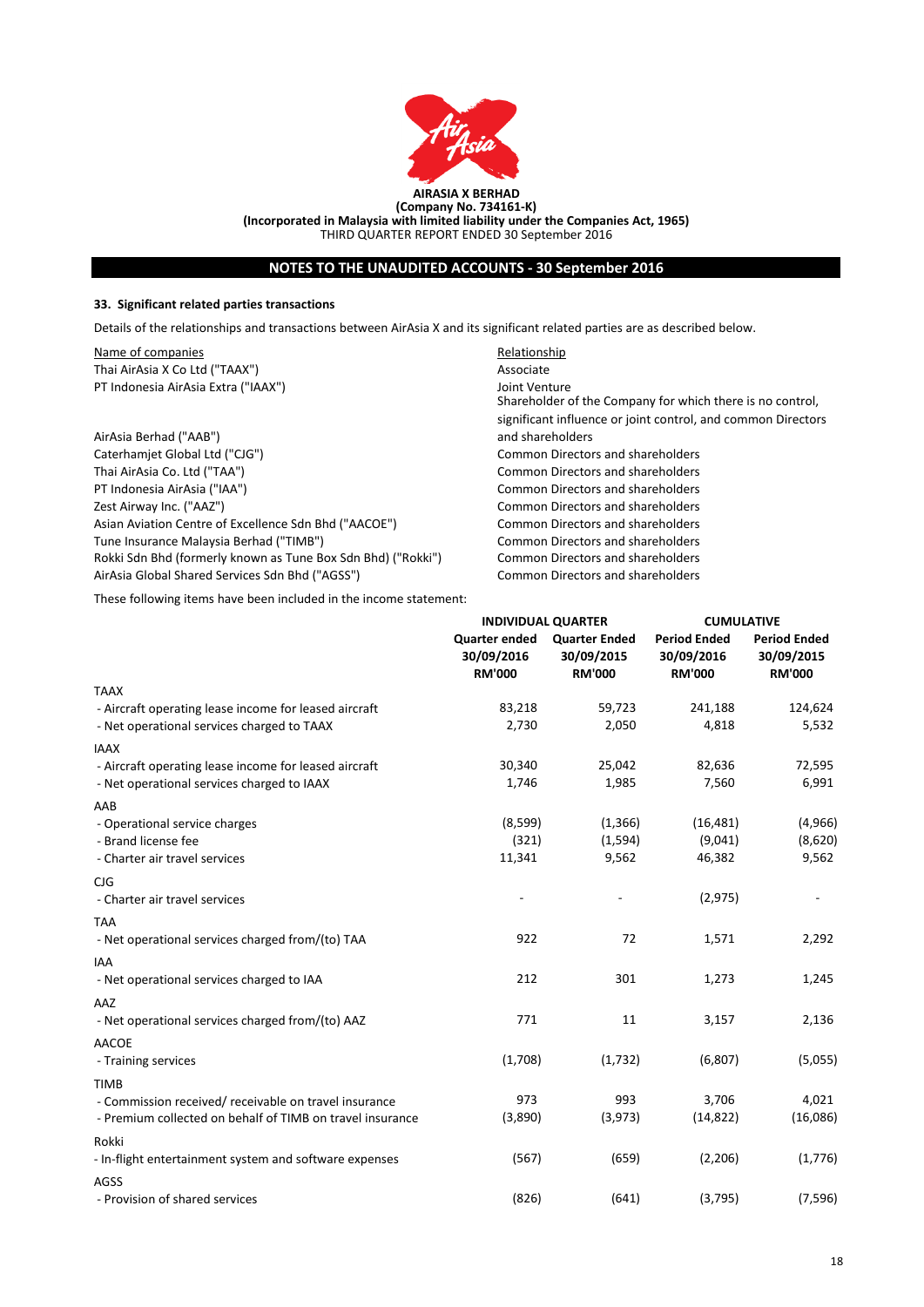

# **NOTES TO THE UNAUDITED ACCOUNTS - 30 September 2016**

### **33. Significant related parties transactions**

Details of the relationships and transactions between AirAsia X and its significant related parties are as described below.

Name of companies **Relationship** Relationship Thai AirAsia X Co Ltd ("TAAX") Associate PT Indonesia AirAsia Extra ("IAAX") Joint Venture

AirAsia Berhad ("AAB") Caterhamjet Global Ltd ("CJG") Common Directors and shareholders PT Indonesia AirAsia ("IAA") Common Directors and shareholders Zest Airway Inc. ("AAZ") Common Directors and shareholders Asian Aviation Centre of Excellence Sdn Bhd ("AACOE") Common Directors and shareholders Tune Insurance Malaysia Berhad ("TIMB") Common Directors and shareholders Rokki Sdn Bhd (formerly known as Tune Box Sdn Bhd) ("Rokki") Common Directors and shareholders AirAsia Global Shared Services Sdn Bhd ("AGSS") Common Directors and shareholders

Common Directors and shareholders Shareholder of the Company for which there is no control, significant influence or joint control, and common Directors and shareholders

These following items have been included in the income statement:

|                                                           | <b>INDIVIDUAL QUARTER</b>                           |                                                     | <b>CUMULATIVE</b>                                  |                                                    |
|-----------------------------------------------------------|-----------------------------------------------------|-----------------------------------------------------|----------------------------------------------------|----------------------------------------------------|
|                                                           | <b>Quarter ended</b><br>30/09/2016<br><b>RM'000</b> | <b>Quarter Ended</b><br>30/09/2015<br><b>RM'000</b> | <b>Period Ended</b><br>30/09/2016<br><b>RM'000</b> | <b>Period Ended</b><br>30/09/2015<br><b>RM'000</b> |
| <b>TAAX</b>                                               |                                                     |                                                     |                                                    |                                                    |
| - Aircraft operating lease income for leased aircraft     | 83,218                                              | 59,723                                              | 241,188                                            | 124,624                                            |
| - Net operational services charged to TAAX                | 2,730                                               | 2,050                                               | 4,818                                              | 5,532                                              |
| <b>IAAX</b>                                               |                                                     |                                                     |                                                    |                                                    |
| - Aircraft operating lease income for leased aircraft     | 30,340                                              | 25,042                                              | 82,636                                             | 72,595                                             |
| - Net operational services charged to IAAX                | 1,746                                               | 1,985                                               | 7,560                                              | 6,991                                              |
| AAB                                                       |                                                     |                                                     |                                                    |                                                    |
| - Operational service charges                             | (8,599)                                             | (1,366)                                             | (16, 481)                                          | (4,966)                                            |
| - Brand license fee                                       | (321)                                               | (1,594)                                             | (9,041)                                            | (8,620)                                            |
| - Charter air travel services                             | 11,341                                              | 9,562                                               | 46,382                                             | 9,562                                              |
| <b>CJG</b>                                                |                                                     |                                                     |                                                    |                                                    |
| - Charter air travel services                             |                                                     |                                                     | (2, 975)                                           |                                                    |
| <b>TAA</b>                                                |                                                     |                                                     |                                                    |                                                    |
| - Net operational services charged from/(to) TAA          | 922                                                 | 72                                                  | 1,571                                              | 2,292                                              |
| <b>IAA</b>                                                |                                                     |                                                     |                                                    |                                                    |
| - Net operational services charged to IAA                 | 212                                                 | 301                                                 | 1,273                                              | 1,245                                              |
| AAZ                                                       |                                                     |                                                     |                                                    |                                                    |
| - Net operational services charged from/(to) AAZ          | 771                                                 | 11                                                  | 3,157                                              | 2,136                                              |
| <b>AACOE</b>                                              |                                                     |                                                     |                                                    |                                                    |
| - Training services                                       | (1,708)                                             | (1,732)                                             | (6,807)                                            | (5,055)                                            |
| <b>TIMB</b>                                               |                                                     |                                                     |                                                    |                                                    |
| - Commission received/receivable on travel insurance      | 973                                                 | 993                                                 | 3,706                                              | 4,021                                              |
| - Premium collected on behalf of TIMB on travel insurance | (3,890)                                             | (3, 973)                                            | (14, 822)                                          | (16,086)                                           |
| Rokki                                                     |                                                     |                                                     |                                                    |                                                    |
| - In-flight entertainment system and software expenses    | (567)                                               | (659)                                               | (2,206)                                            | (1,776)                                            |
| AGSS                                                      |                                                     |                                                     |                                                    |                                                    |
| - Provision of shared services                            | (826)                                               | (641)                                               | (3,795)                                            | (7, 596)                                           |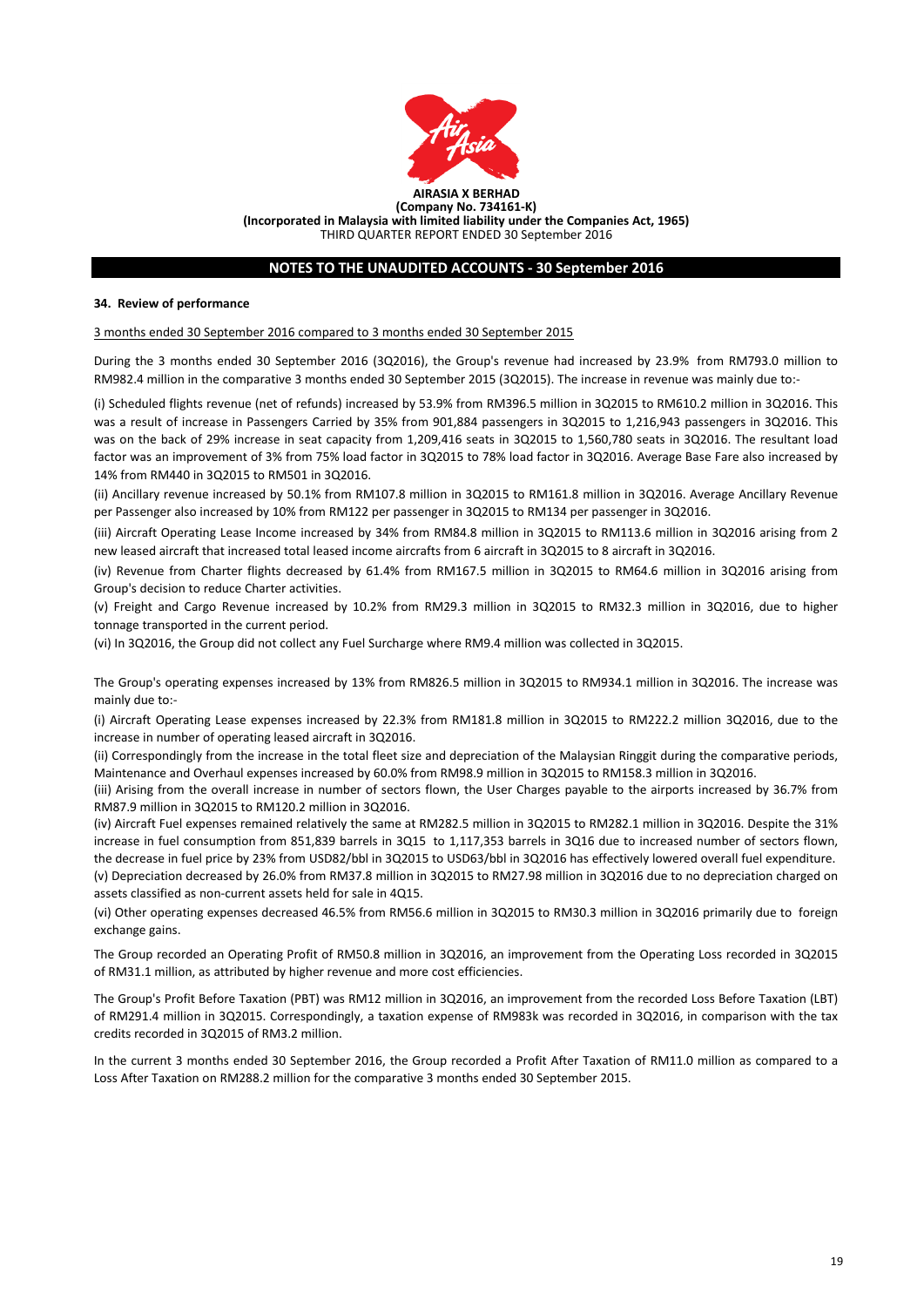

## **NOTES TO THE UNAUDITED ACCOUNTS - 30 September 2016**

#### **34. Review of performance**

#### 3 months ended 30 September 2016 compared to 3 months ended 30 September 2015

During the 3 months ended 30 September 2016 (3Q2016), the Group's revenue had increased by 23.9% from RM793.0 million to RM982.4 million in the comparative 3 months ended 30 September 2015 (3Q2015). The increase in revenue was mainly due to:-

(i) Scheduled flights revenue (net of refunds) increased by 53.9% from RM396.5 million in 3Q2015 to RM610.2 million in 3Q2016. This was a result of increase in Passengers Carried by 35% from 901,884 passengers in 3Q2015 to 1,216,943 passengers in 3Q2016. This was on the back of 29% increase in seat capacity from 1,209,416 seats in 3Q2015 to 1,560,780 seats in 3Q2016. The resultant load factor was an improvement of 3% from 75% load factor in 3Q2015 to 78% load factor in 3Q2016. Average Base Fare also increased by 14% from RM440 in 3Q2015 to RM501 in 3Q2016.

(ii) Ancillary revenue increased by 50.1% from RM107.8 million in 3Q2015 to RM161.8 million in 3Q2016. Average Ancillary Revenue per Passenger also increased by 10% from RM122 per passenger in 3Q2015 to RM134 per passenger in 3Q2016.

(iii) Aircraft Operating Lease Income increased by 34% from RM84.8 million in 3Q2015 to RM113.6 million in 3Q2016 arising from 2 new leased aircraft that increased total leased income aircrafts from 6 aircraft in 3Q2015 to 8 aircraft in 3Q2016.

(iv) Revenue from Charter flights decreased by 61.4% from RM167.5 million in 3Q2015 to RM64.6 million in 3Q2016 arising from Group's decision to reduce Charter activities.

(v) Freight and Cargo Revenue increased by 10.2% from RM29.3 million in 3Q2015 to RM32.3 million in 3Q2016, due to higher tonnage transported in the current period.

(vi) In 3Q2016, the Group did not collect any Fuel Surcharge where RM9.4 million was collected in 3Q2015.

The Group's operating expenses increased by 13% from RM826.5 million in 3Q2015 to RM934.1 million in 3Q2016. The increase was mainly due to:-

(i) Aircraft Operating Lease expenses increased by 22.3% from RM181.8 million in 3Q2015 to RM222.2 million 3Q2016, due to the increase in number of operating leased aircraft in 3Q2016.

(ii) Correspondingly from the increase in the total fleet size and depreciation of the Malaysian Ringgit during the comparative periods, Maintenance and Overhaul expenses increased by 60.0% from RM98.9 million in 3Q2015 to RM158.3 million in 3Q2016.

(iii) Arising from the overall increase in number of sectors flown, the User Charges payable to the airports increased by 36.7% from RM87.9 million in 3Q2015 to RM120.2 million in 3Q2016.

(iv) Aircraft Fuel expenses remained relatively the same at RM282.5 million in 3Q2015 to RM282.1 million in 3Q2016. Despite the 31% increase in fuel consumption from 851,839 barrels in 3Q15 to 1,117,353 barrels in 3Q16 due to increased number of sectors flown, the decrease in fuel price by 23% from USD82/bbl in 3Q2015 to USD63/bbl in 3Q2016 has effectively lowered overall fuel expenditure. (v) Depreciation decreased by 26.0% from RM37.8 million in 3Q2015 to RM27.98 million in 3Q2016 due to no depreciation charged on assets classified as non-current assets held for sale in 4Q15.

(vi) Other operating expenses decreased 46.5% from RM56.6 million in 3Q2015 to RM30.3 million in 3Q2016 primarily due to foreign exchange gains.

The Group recorded an Operating Profit of RM50.8 million in 3Q2016, an improvement from the Operating Loss recorded in 3Q2015 of RM31.1 million, as attributed by higher revenue and more cost efficiencies.

The Group's Profit Before Taxation (PBT) was RM12 million in 3Q2016, an improvement from the recorded Loss Before Taxation (LBT) of RM291.4 million in 3Q2015. Correspondingly, a taxation expense of RM983k was recorded in 3Q2016, in comparison with the tax credits recorded in 3Q2015 of RM3.2 million.

In the current 3 months ended 30 September 2016, the Group recorded a Profit After Taxation of RM11.0 million as compared to a Loss After Taxation on RM288.2 million for the comparative 3 months ended 30 September 2015.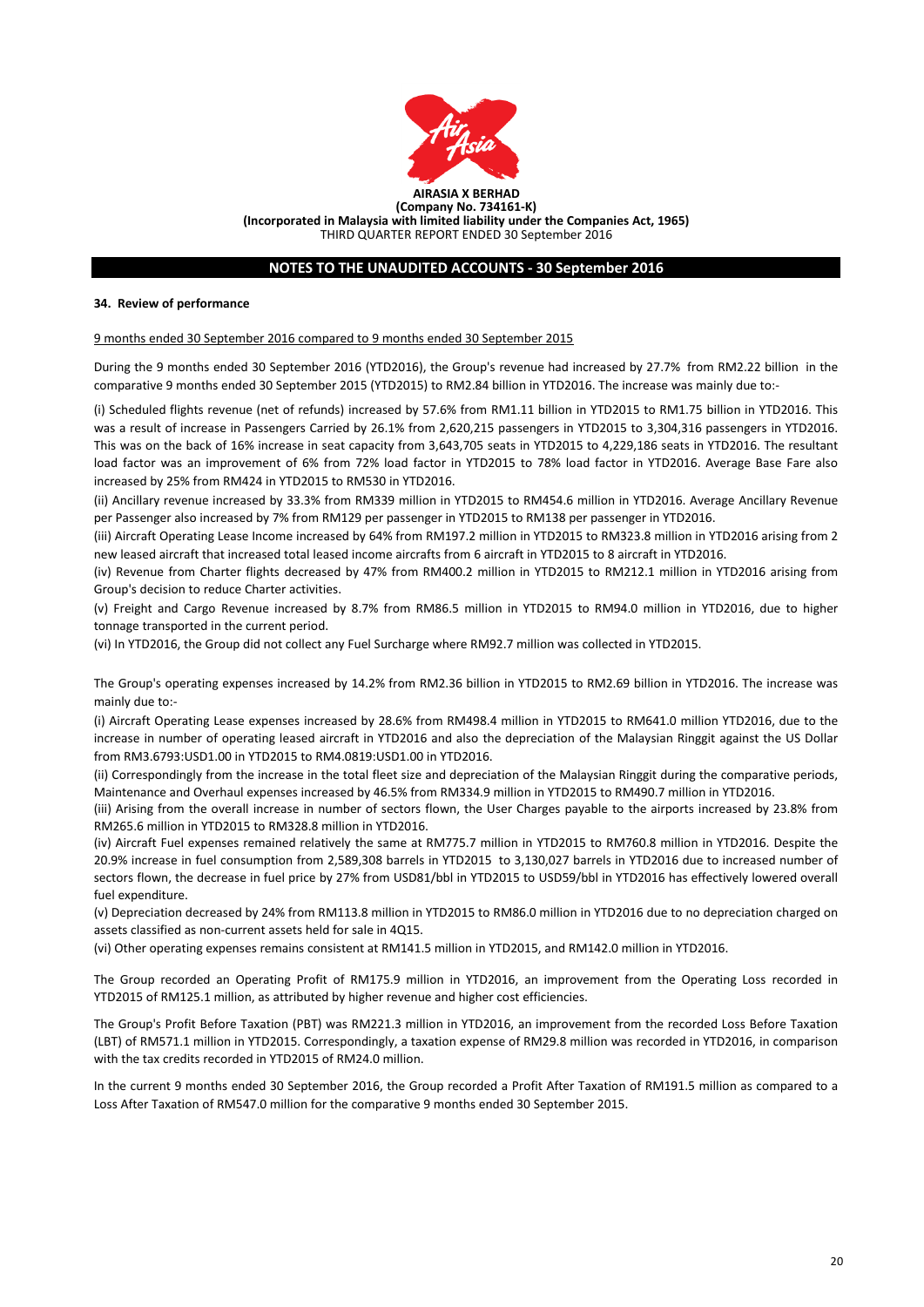

# **NOTES TO THE UNAUDITED ACCOUNTS - 30 September 2016**

#### **34. Review of performance**

#### 9 months ended 30 September 2016 compared to 9 months ended 30 September 2015

During the 9 months ended 30 September 2016 (YTD2016), the Group's revenue had increased by 27.7% from RM2.22 billion in the comparative 9 months ended 30 September 2015 (YTD2015) to RM2.84 billion in YTD2016. The increase was mainly due to:-

(i) Scheduled flights revenue (net of refunds) increased by 57.6% from RM1.11 billion in YTD2015 to RM1.75 billion in YTD2016. This was a result of increase in Passengers Carried by 26.1% from 2,620,215 passengers in YTD2015 to 3,304,316 passengers in YTD2016. This was on the back of 16% increase in seat capacity from 3,643,705 seats in YTD2015 to 4,229,186 seats in YTD2016. The resultant load factor was an improvement of 6% from 72% load factor in YTD2015 to 78% load factor in YTD2016. Average Base Fare also increased by 25% from RM424 in YTD2015 to RM530 in YTD2016.

(ii) Ancillary revenue increased by 33.3% from RM339 million in YTD2015 to RM454.6 million in YTD2016. Average Ancillary Revenue per Passenger also increased by 7% from RM129 per passenger in YTD2015 to RM138 per passenger in YTD2016.

(iii) Aircraft Operating Lease Income increased by 64% from RM197.2 million in YTD2015 to RM323.8 million in YTD2016 arising from 2 new leased aircraft that increased total leased income aircrafts from 6 aircraft in YTD2015 to 8 aircraft in YTD2016.

(iv) Revenue from Charter flights decreased by 47% from RM400.2 million in YTD2015 to RM212.1 million in YTD2016 arising from Group's decision to reduce Charter activities.

(v) Freight and Cargo Revenue increased by 8.7% from RM86.5 million in YTD2015 to RM94.0 million in YTD2016, due to higher tonnage transported in the current period.

(vi) In YTD2016, the Group did not collect any Fuel Surcharge where RM92.7 million was collected in YTD2015.

The Group's operating expenses increased by 14.2% from RM2.36 billion in YTD2015 to RM2.69 billion in YTD2016. The increase was mainly due to:-

(i) Aircraft Operating Lease expenses increased by 28.6% from RM498.4 million in YTD2015 to RM641.0 million YTD2016, due to the increase in number of operating leased aircraft in YTD2016 and also the depreciation of the Malaysian Ringgit against the US Dollar from RM3.6793:USD1.00 in YTD2015 to RM4.0819:USD1.00 in YTD2016.

(ii) Correspondingly from the increase in the total fleet size and depreciation of the Malaysian Ringgit during the comparative periods, Maintenance and Overhaul expenses increased by 46.5% from RM334.9 million in YTD2015 to RM490.7 million in YTD2016.

(iii) Arising from the overall increase in number of sectors flown, the User Charges payable to the airports increased by 23.8% from RM265.6 million in YTD2015 to RM328.8 million in YTD2016.

(iv) Aircraft Fuel expenses remained relatively the same at RM775.7 million in YTD2015 to RM760.8 million in YTD2016. Despite the 20.9% increase in fuel consumption from 2,589,308 barrels in YTD2015 to 3,130,027 barrels in YTD2016 due to increased number of sectors flown, the decrease in fuel price by 27% from USD81/bbl in YTD2015 to USD59/bbl in YTD2016 has effectively lowered overall fuel expenditure.

(v) Depreciation decreased by 24% from RM113.8 million in YTD2015 to RM86.0 million in YTD2016 due to no depreciation charged on assets classified as non-current assets held for sale in 4Q15.

(vi) Other operating expenses remains consistent at RM141.5 million in YTD2015, and RM142.0 million in YTD2016.

The Group recorded an Operating Profit of RM175.9 million in YTD2016, an improvement from the Operating Loss recorded in YTD2015 of RM125.1 million, as attributed by higher revenue and higher cost efficiencies.

The Group's Profit Before Taxation (PBT) was RM221.3 million in YTD2016, an improvement from the recorded Loss Before Taxation (LBT) of RM571.1 million in YTD2015. Correspondingly, a taxation expense of RM29.8 million was recorded in YTD2016, in comparison with the tax credits recorded in YTD2015 of RM24.0 million.

In the current 9 months ended 30 September 2016, the Group recorded a Profit After Taxation of RM191.5 million as compared to a Loss After Taxation of RM547.0 million for the comparative 9 months ended 30 September 2015.